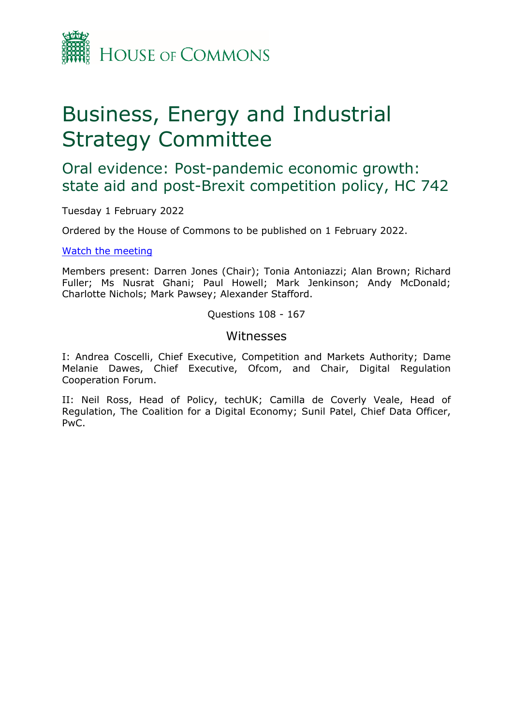

## Business, Energy and Industrial Strategy Committee

Oral evidence: Post-pandemic economic growth: state aid and post-Brexit competition policy, HC 742

Tuesday 1 February 2022

Ordered by the House of Commons to be published on 1 February 2022.

[Watch](https://www.parliamentlive.tv/Event/Index/40957292-7937-4287-adf4-f2a84ba41dcb) [the](https://www.parliamentlive.tv/Event/Index/40957292-7937-4287-adf4-f2a84ba41dcb) [meeting](https://www.parliamentlive.tv/Event/Index/40957292-7937-4287-adf4-f2a84ba41dcb)

Members present: Darren Jones (Chair); Tonia Antoniazzi; Alan Brown; Richard Fuller; Ms Nusrat Ghani; Paul Howell; Mark Jenkinson; Andy McDonald; Charlotte Nichols; Mark Pawsey; Alexander Stafford.

Questions 108 - 167

## Witnesses

I: Andrea Coscelli, Chief Executive, Competition and Markets Authority; Dame Melanie Dawes, Chief Executive, Ofcom, and Chair, Digital Regulation Cooperation Forum.

II: Neil Ross, Head of Policy, techUK; Camilla de Coverly Veale, Head of Regulation, The Coalition for a Digital Economy; Sunil Patel, Chief Data Officer, PwC.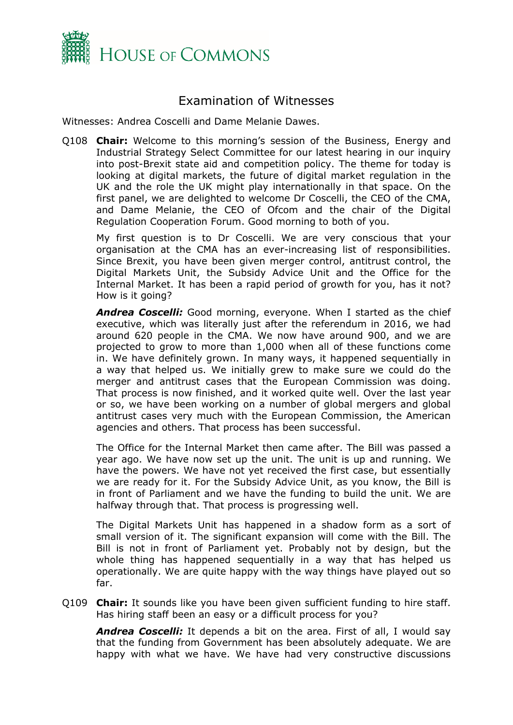

## Examination of Witnesses

Witnesses: Andrea Coscelli and Dame Melanie Dawes.

Q108 **Chair:** Welcome to this morning's session of the Business, Energy and Industrial Strategy Select Committee for our latest hearing in our inquiry into post-Brexit state aid and competition policy. The theme for today is looking at digital markets, the future of digital market regulation in the UK and the role the UK might play internationally in that space. On the first panel, we are delighted to welcome Dr Coscelli, the CEO of the CMA, and Dame Melanie, the CEO of Ofcom and the chair of the Digital Regulation Cooperation Forum. Good morning to both of you.

My first question is to Dr Coscelli. We are very conscious that your organisation at the CMA has an ever-increasing list of responsibilities. Since Brexit, you have been given merger control, antitrust control, the Digital Markets Unit, the Subsidy Advice Unit and the Office for the Internal Market. It has been a rapid period of growth for you, has it not? How is it going?

*Andrea Coscelli:* Good morning, everyone. When I started as the chief executive, which was literally just after the referendum in 2016, we had around 620 people in the CMA. We now have around 900, and we are projected to grow to more than 1,000 when all of these functions come in. We have definitely grown. In many ways, it happened sequentially in a way that helped us. We initially grew to make sure we could do the merger and antitrust cases that the European Commission was doing. That process is now finished, and it worked quite well. Over the last year or so, we have been working on a number of global mergers and global antitrust cases very much with the European Commission, the American agencies and others. That process has been successful.

The Office for the Internal Market then came after. The Bill was passed a year ago. We have now set up the unit. The unit is up and running. We have the powers. We have not yet received the first case, but essentially we are ready for it. For the Subsidy Advice Unit, as you know, the Bill is in front of Parliament and we have the funding to build the unit. We are halfway through that. That process is progressing well.

The Digital Markets Unit has happened in a shadow form as a sort of small version of it. The significant expansion will come with the Bill. The Bill is not in front of Parliament yet. Probably not by design, but the whole thing has happened sequentially in a way that has helped us operationally. We are quite happy with the way things have played out so far.

Q109 **Chair:** It sounds like you have been given sufficient funding to hire staff. Has hiring staff been an easy or a difficult process for you?

*Andrea Coscelli:* It depends a bit on the area. First of all, I would say that the funding from Government has been absolutely adequate. We are happy with what we have. We have had very constructive discussions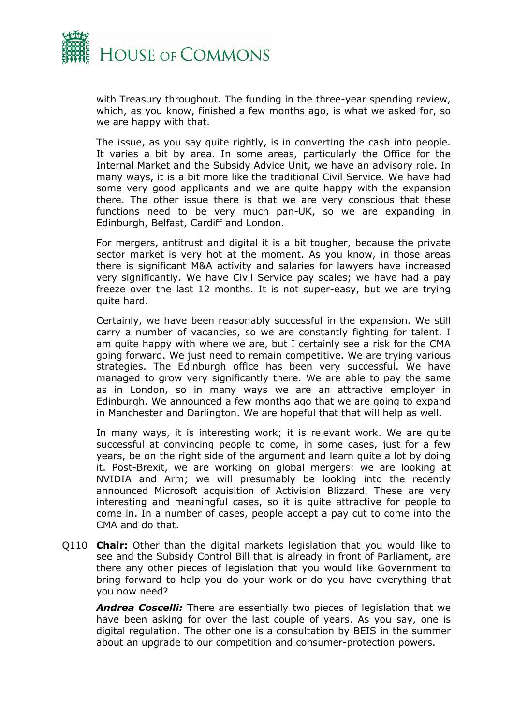

with Treasury throughout. The funding in the three-year spending review, which, as you know, finished a few months ago, is what we asked for, so we are happy with that.

The issue, as you say quite rightly, is in converting the cash into people. It varies a bit by area. In some areas, particularly the Office for the Internal Market and the Subsidy Advice Unit, we have an advisory role. In many ways, it is a bit more like the traditional Civil Service. We have had some very good applicants and we are quite happy with the expansion there. The other issue there is that we are very conscious that these functions need to be very much pan-UK, so we are expanding in Edinburgh, Belfast, Cardiff and London.

For mergers, antitrust and digital it is a bit tougher, because the private sector market is very hot at the moment. As you know, in those areas there is significant M&A activity and salaries for lawyers have increased very significantly. We have Civil Service pay scales; we have had a pay freeze over the last 12 months. It is not super-easy, but we are trying quite hard.

Certainly, we have been reasonably successful in the expansion. We still carry a number of vacancies, so we are constantly fighting for talent. I am quite happy with where we are, but I certainly see a risk for the CMA going forward. We just need to remain competitive. We are trying various strategies. The Edinburgh office has been very successful. We have managed to grow very significantly there. We are able to pay the same as in London, so in many ways we are an attractive employer in Edinburgh. We announced a few months ago that we are going to expand in Manchester and Darlington. We are hopeful that that will help as well.

In many ways, it is interesting work; it is relevant work. We are quite successful at convincing people to come, in some cases, just for a few years, be on the right side of the argument and learn quite a lot by doing it. Post-Brexit, we are working on global mergers: we are looking at NVIDIA and Arm; we will presumably be looking into the recently announced Microsoft acquisition of Activision Blizzard. These are very interesting and meaningful cases, so it is quite attractive for people to come in. In a number of cases, people accept a pay cut to come into the CMA and do that.

Q110 **Chair:** Other than the digital markets legislation that you would like to see and the Subsidy Control Bill that is already in front of Parliament, are there any other pieces of legislation that you would like Government to bring forward to help you do your work or do you have everything that you now need?

*Andrea Coscelli:* There are essentially two pieces of legislation that we have been asking for over the last couple of years. As you say, one is digital regulation. The other one is a consultation by BEIS in the summer about an upgrade to our competition and consumer-protection powers.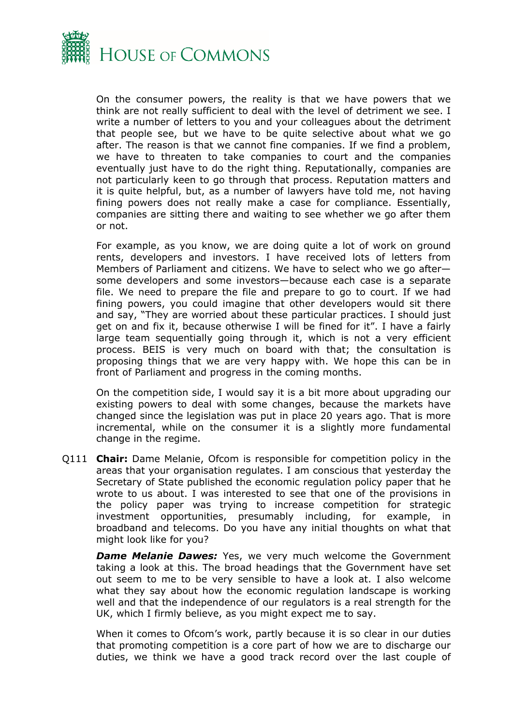

On the consumer powers, the reality is that we have powers that we think are not really sufficient to deal with the level of detriment we see. I write a number of letters to you and your colleagues about the detriment that people see, but we have to be quite selective about what we go after. The reason is that we cannot fine companies. If we find a problem, we have to threaten to take companies to court and the companies eventually just have to do the right thing. Reputationally, companies are not particularly keen to go through that process. Reputation matters and it is quite helpful, but, as a number of lawyers have told me, not having fining powers does not really make a case for compliance. Essentially, companies are sitting there and waiting to see whether we go after them or not.

For example, as you know, we are doing quite a lot of work on ground rents, developers and investors. I have received lots of letters from Members of Parliament and citizens. We have to select who we go after some developers and some investors—because each case is a separate file. We need to prepare the file and prepare to go to court. If we had fining powers, you could imagine that other developers would sit there and say, "They are worried about these particular practices. I should just get on and fix it, because otherwise I will be fined for it". I have a fairly large team sequentially going through it, which is not a very efficient process. BEIS is very much on board with that; the consultation is proposing things that we are very happy with. We hope this can be in front of Parliament and progress in the coming months.

On the competition side, I would say it is a bit more about upgrading our existing powers to deal with some changes, because the markets have changed since the legislation was put in place 20 years ago. That is more incremental, while on the consumer it is a slightly more fundamental change in the regime.

Q111 **Chair:** Dame Melanie, Ofcom is responsible for competition policy in the areas that your organisation regulates. I am conscious that yesterday the Secretary of State published the economic regulation policy paper that he wrote to us about. I was interested to see that one of the provisions in the policy paper was trying to increase competition for strategic investment opportunities, presumably including, for example, in broadband and telecoms. Do you have any initial thoughts on what that might look like for you?

**Dame Melanie Dawes:** Yes, we very much welcome the Government taking a look at this. The broad headings that the Government have set out seem to me to be very sensible to have a look at. I also welcome what they say about how the economic regulation landscape is working well and that the independence of our regulators is a real strength for the UK, which I firmly believe, as you might expect me to say.

When it comes to Ofcom's work, partly because it is so clear in our duties that promoting competition is a core part of how we are to discharge our duties, we think we have a good track record over the last couple of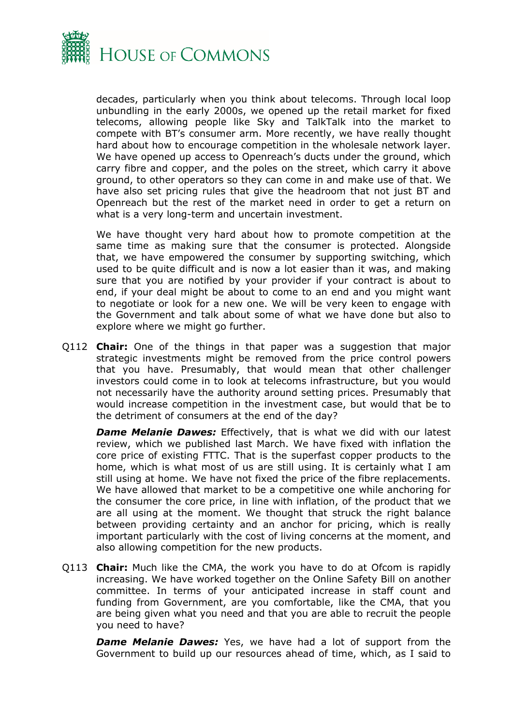

decades, particularly when you think about telecoms. Through local loop unbundling in the early 2000s, we opened up the retail market for fixed telecoms, allowing people like Sky and TalkTalk into the market to compete with BT's consumer arm. More recently, we have really thought hard about how to encourage competition in the wholesale network layer. We have opened up access to Openreach's ducts under the ground, which carry fibre and copper, and the poles on the street, which carry it above ground, to other operators so they can come in and make use of that. We have also set pricing rules that give the headroom that not just BT and Openreach but the rest of the market need in order to get a return on what is a very long-term and uncertain investment.

We have thought very hard about how to promote competition at the same time as making sure that the consumer is protected. Alongside that, we have empowered the consumer by supporting switching, which used to be quite difficult and is now a lot easier than it was, and making sure that you are notified by your provider if your contract is about to end, if your deal might be about to come to an end and you might want to negotiate or look for a new one. We will be very keen to engage with the Government and talk about some of what we have done but also to explore where we might go further.

Q112 **Chair:** One of the things in that paper was a suggestion that major strategic investments might be removed from the price control powers that you have. Presumably, that would mean that other challenger investors could come in to look at telecoms infrastructure, but you would not necessarily have the authority around setting prices. Presumably that would increase competition in the investment case, but would that be to the detriment of consumers at the end of the day?

*Dame Melanie Dawes:* Effectively, that is what we did with our latest review, which we published last March. We have fixed with inflation the core price of existing FTTC. That is the superfast copper products to the home, which is what most of us are still using. It is certainly what I am still using at home. We have not fixed the price of the fibre replacements. We have allowed that market to be a competitive one while anchoring for the consumer the core price, in line with inflation, of the product that we are all using at the moment. We thought that struck the right balance between providing certainty and an anchor for pricing, which is really important particularly with the cost of living concerns at the moment, and also allowing competition for the new products.

Q113 **Chair:** Much like the CMA, the work you have to do at Ofcom is rapidly increasing. We have worked together on the Online Safety Bill on another committee. In terms of your anticipated increase in staff count and funding from Government, are you comfortable, like the CMA, that you are being given what you need and that you are able to recruit the people you need to have?

*Dame Melanie Dawes:* Yes, we have had a lot of support from the Government to build up our resources ahead of time, which, as I said to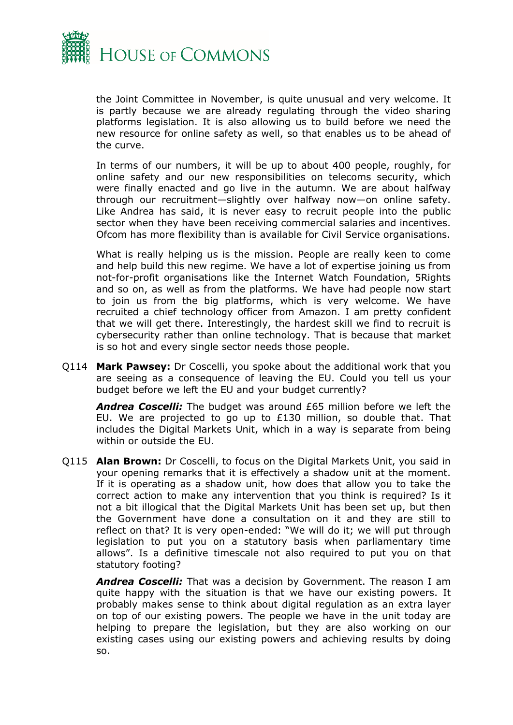

the Joint Committee in November, is quite unusual and very welcome. It is partly because we are already regulating through the video sharing platforms legislation. It is also allowing us to build before we need the new resource for online safety as well, so that enables us to be ahead of the curve.

In terms of our numbers, it will be up to about 400 people, roughly, for online safety and our new responsibilities on telecoms security, which were finally enacted and go live in the autumn. We are about halfway through our recruitment—slightly over halfway now—on online safety. Like Andrea has said, it is never easy to recruit people into the public sector when they have been receiving commercial salaries and incentives. Ofcom has more flexibility than is available for Civil Service organisations.

What is really helping us is the mission. People are really keen to come and help build this new regime. We have a lot of expertise joining us from not-for-profit organisations like the Internet Watch Foundation, 5Rights and so on, as well as from the platforms. We have had people now start to join us from the big platforms, which is very welcome. We have recruited a chief technology officer from Amazon. I am pretty confident that we will get there. Interestingly, the hardest skill we find to recruit is cybersecurity rather than online technology. That is because that market is so hot and every single sector needs those people.

Q114 **Mark Pawsey:** Dr Coscelli, you spoke about the additional work that you are seeing as a consequence of leaving the EU. Could you tell us your budget before we left the EU and your budget currently?

*Andrea Coscelli:* The budget was around £65 million before we left the EU. We are projected to go up to £130 million, so double that. That includes the Digital Markets Unit, which in a way is separate from being within or outside the EU.

Q115 **Alan Brown:** Dr Coscelli, to focus on the Digital Markets Unit, you said in your opening remarks that it is effectively a shadow unit at the moment. If it is operating as a shadow unit, how does that allow you to take the correct action to make any intervention that you think is required? Is it not a bit illogical that the Digital Markets Unit has been set up, but then the Government have done a consultation on it and they are still to reflect on that? It is very open-ended: "We will do it; we will put through legislation to put you on a statutory basis when parliamentary time allows". Is a definitive timescale not also required to put you on that statutory footing?

*Andrea Coscelli:* That was a decision by Government. The reason I am quite happy with the situation is that we have our existing powers. It probably makes sense to think about digital regulation as an extra layer on top of our existing powers. The people we have in the unit today are helping to prepare the legislation, but they are also working on our existing cases using our existing powers and achieving results by doing so.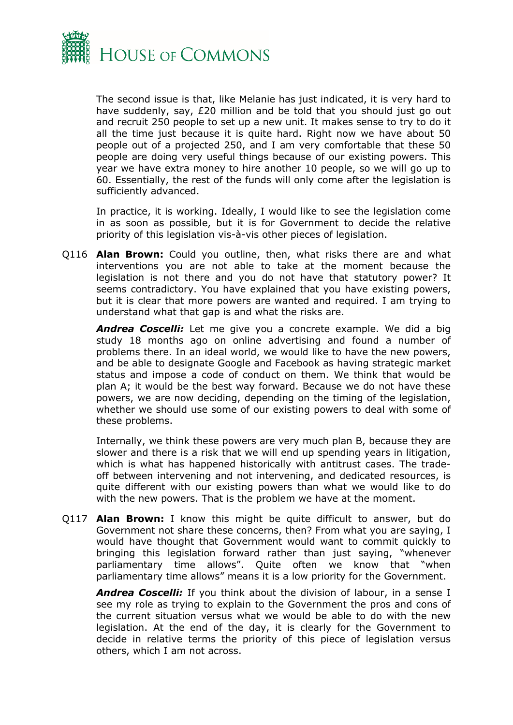

The second issue is that, like Melanie has just indicated, it is very hard to have suddenly, say, £20 million and be told that you should just go out and recruit 250 people to set up a new unit. It makes sense to try to do it all the time just because it is quite hard. Right now we have about 50 people out of a projected 250, and I am very comfortable that these 50 people are doing very useful things because of our existing powers. This year we have extra money to hire another 10 people, so we will go up to 60. Essentially, the rest of the funds will only come after the legislation is sufficiently advanced.

In practice, it is working. Ideally, I would like to see the legislation come in as soon as possible, but it is for Government to decide the relative priority of this legislation vis-à-vis other pieces of legislation.

Q116 **Alan Brown:** Could you outline, then, what risks there are and what interventions you are not able to take at the moment because the legislation is not there and you do not have that statutory power? It seems contradictory. You have explained that you have existing powers, but it is clear that more powers are wanted and required. I am trying to understand what that gap is and what the risks are.

*Andrea Coscelli:* Let me give you a concrete example. We did a big study 18 months ago on online advertising and found a number of problems there. In an ideal world, we would like to have the new powers, and be able to designate Google and Facebook as having strategic market status and impose a code of conduct on them. We think that would be plan A; it would be the best way forward. Because we do not have these powers, we are now deciding, depending on the timing of the legislation, whether we should use some of our existing powers to deal with some of these problems.

Internally, we think these powers are very much plan B, because they are slower and there is a risk that we will end up spending years in litigation, which is what has happened historically with antitrust cases. The tradeoff between intervening and not intervening, and dedicated resources, is quite different with our existing powers than what we would like to do with the new powers. That is the problem we have at the moment.

Q117 **Alan Brown:** I know this might be quite difficult to answer, but do Government not share these concerns, then? From what you are saying, I would have thought that Government would want to commit quickly to bringing this legislation forward rather than just saying, "whenever parliamentary time allows". Quite often we know that "when parliamentary time allows" means it is a low priority for the Government.

*Andrea Coscelli:* If you think about the division of labour, in a sense I see my role as trying to explain to the Government the pros and cons of the current situation versus what we would be able to do with the new legislation. At the end of the day, it is clearly for the Government to decide in relative terms the priority of this piece of legislation versus others, which I am not across.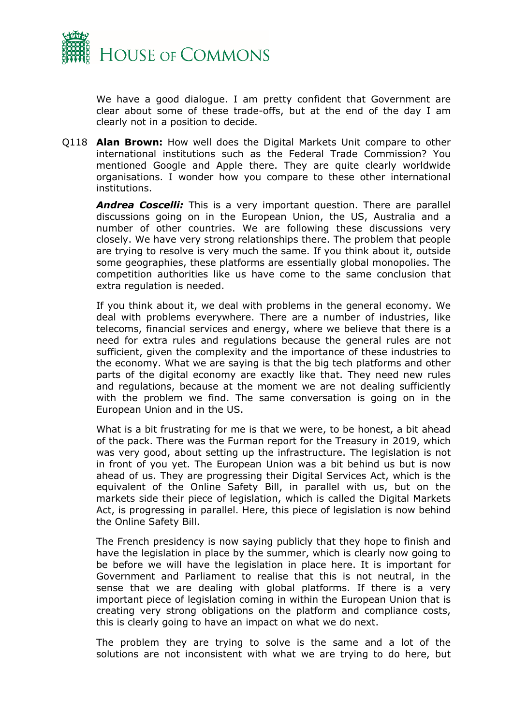

We have a good dialogue. I am pretty confident that Government are clear about some of these trade-offs, but at the end of the day I am clearly not in a position to decide.

Q118 **Alan Brown:** How well does the Digital Markets Unit compare to other international institutions such as the Federal Trade Commission? You mentioned Google and Apple there. They are quite clearly worldwide organisations. I wonder how you compare to these other international institutions.

*Andrea Coscelli:* This is a very important question. There are parallel discussions going on in the European Union, the US, Australia and a number of other countries. We are following these discussions very closely. We have very strong relationships there. The problem that people are trying to resolve is very much the same. If you think about it, outside some geographies, these platforms are essentially global monopolies. The competition authorities like us have come to the same conclusion that extra regulation is needed.

If you think about it, we deal with problems in the general economy. We deal with problems everywhere. There are a number of industries, like telecoms, financial services and energy, where we believe that there is a need for extra rules and regulations because the general rules are not sufficient, given the complexity and the importance of these industries to the economy. What we are saying is that the big tech platforms and other parts of the digital economy are exactly like that. They need new rules and regulations, because at the moment we are not dealing sufficiently with the problem we find. The same conversation is going on in the European Union and in the US.

What is a bit frustrating for me is that we were, to be honest, a bit ahead of the pack. There was the Furman report for the Treasury in 2019, which was very good, about setting up the infrastructure. The legislation is not in front of you yet. The European Union was a bit behind us but is now ahead of us. They are progressing their Digital Services Act, which is the equivalent of the Online Safety Bill, in parallel with us, but on the markets side their piece of legislation, which is called the Digital Markets Act, is progressing in parallel. Here, this piece of legislation is now behind the Online Safety Bill.

The French presidency is now saying publicly that they hope to finish and have the legislation in place by the summer, which is clearly now going to be before we will have the legislation in place here. It is important for Government and Parliament to realise that this is not neutral, in the sense that we are dealing with global platforms. If there is a very important piece of legislation coming in within the European Union that is creating very strong obligations on the platform and compliance costs, this is clearly going to have an impact on what we do next.

The problem they are trying to solve is the same and a lot of the solutions are not inconsistent with what we are trying to do here, but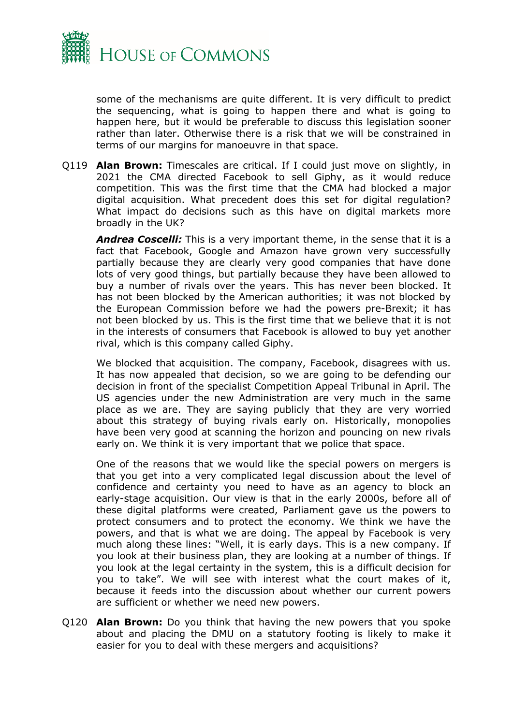

some of the mechanisms are quite different. It is very difficult to predict the sequencing, what is going to happen there and what is going to happen here, but it would be preferable to discuss this legislation sooner rather than later. Otherwise there is a risk that we will be constrained in terms of our margins for manoeuvre in that space.

Q119 **Alan Brown:** Timescales are critical. If I could just move on slightly, in 2021 the CMA directed Facebook to sell Giphy, as it would reduce competition. This was the first time that the CMA had blocked a major digital acquisition. What precedent does this set for digital regulation? What impact do decisions such as this have on digital markets more broadly in the UK?

*Andrea Coscelli:* This is a very important theme, in the sense that it is a fact that Facebook, Google and Amazon have grown very successfully partially because they are clearly very good companies that have done lots of very good things, but partially because they have been allowed to buy a number of rivals over the years. This has never been blocked. It has not been blocked by the American authorities; it was not blocked by the European Commission before we had the powers pre-Brexit; it has not been blocked by us. This is the first time that we believe that it is not in the interests of consumers that Facebook is allowed to buy yet another rival, which is this company called Giphy.

We blocked that acquisition. The company, Facebook, disagrees with us. It has now appealed that decision, so we are going to be defending our decision in front of the specialist Competition Appeal Tribunal in April. The US agencies under the new Administration are very much in the same place as we are. They are saying publicly that they are very worried about this strategy of buying rivals early on. Historically, monopolies have been very good at scanning the horizon and pouncing on new rivals early on. We think it is very important that we police that space.

One of the reasons that we would like the special powers on mergers is that you get into a very complicated legal discussion about the level of confidence and certainty you need to have as an agency to block an early-stage acquisition. Our view is that in the early 2000s, before all of these digital platforms were created, Parliament gave us the powers to protect consumers and to protect the economy. We think we have the powers, and that is what we are doing. The appeal by Facebook is very much along these lines: "Well, it is early days. This is a new company. If you look at their business plan, they are looking at a number of things. If you look at the legal certainty in the system, this is a difficult decision for you to take". We will see with interest what the court makes of it, because it feeds into the discussion about whether our current powers are sufficient or whether we need new powers.

Q120 **Alan Brown:** Do you think that having the new powers that you spoke about and placing the DMU on a statutory footing is likely to make it easier for you to deal with these mergers and acquisitions?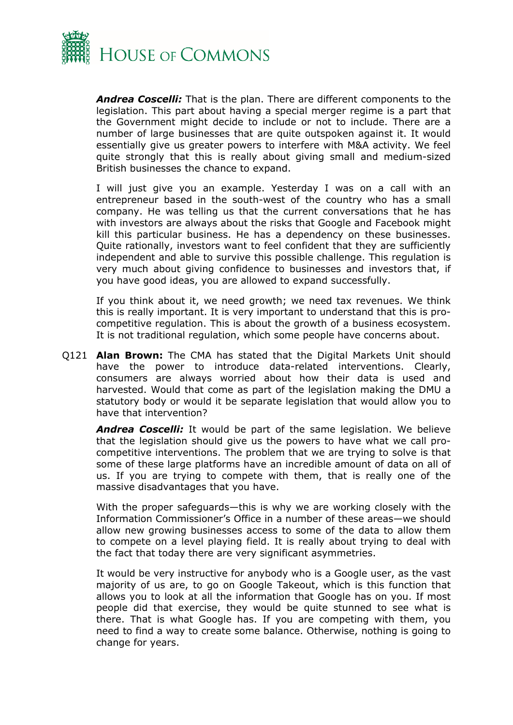

*Andrea Coscelli:* That is the plan. There are different components to the legislation. This part about having a special merger regime is a part that the Government might decide to include or not to include. There are a number of large businesses that are quite outspoken against it. It would essentially give us greater powers to interfere with M&A activity. We feel quite strongly that this is really about giving small and medium-sized British businesses the chance to expand.

I will just give you an example. Yesterday I was on a call with an entrepreneur based in the south-west of the country who has a small company. He was telling us that the current conversations that he has with investors are always about the risks that Google and Facebook might kill this particular business. He has a dependency on these businesses. Quite rationally, investors want to feel confident that they are sufficiently independent and able to survive this possible challenge. This regulation is very much about giving confidence to businesses and investors that, if you have good ideas, you are allowed to expand successfully.

If you think about it, we need growth; we need tax revenues. We think this is really important. It is very important to understand that this is procompetitive regulation. This is about the growth of a business ecosystem. It is not traditional regulation, which some people have concerns about.

Q121 **Alan Brown:** The CMA has stated that the Digital Markets Unit should have the power to introduce data-related interventions. Clearly, consumers are always worried about how their data is used and harvested. Would that come as part of the legislation making the DMU a statutory body or would it be separate legislation that would allow you to have that intervention?

*Andrea Coscelli:* It would be part of the same legislation. We believe that the legislation should give us the powers to have what we call procompetitive interventions. The problem that we are trying to solve is that some of these large platforms have an incredible amount of data on all of us. If you are trying to compete with them, that is really one of the massive disadvantages that you have.

With the proper safeguards—this is why we are working closely with the Information Commissioner's Office in a number of these areas—we should allow new growing businesses access to some of the data to allow them to compete on a level playing field. It is really about trying to deal with the fact that today there are very significant asymmetries.

It would be very instructive for anybody who is a Google user, as the vast majority of us are, to go on Google Takeout, which is this function that allows you to look at all the information that Google has on you. If most people did that exercise, they would be quite stunned to see what is there. That is what Google has. If you are competing with them, you need to find a way to create some balance. Otherwise, nothing is going to change for years.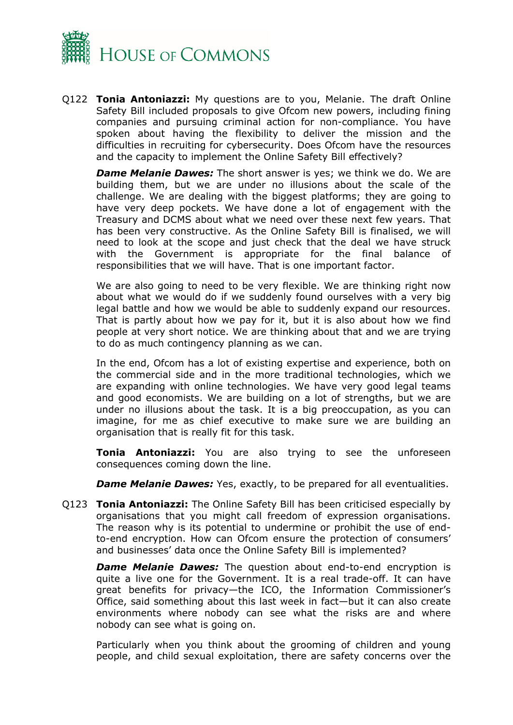

Q122 **Tonia Antoniazzi:** My questions are to you, Melanie. The draft Online Safety Bill included proposals to give Ofcom new powers, including fining companies and pursuing criminal action for non-compliance. You have spoken about having the flexibility to deliver the mission and the difficulties in recruiting for cybersecurity. Does Ofcom have the resources and the capacity to implement the Online Safety Bill effectively?

*Dame Melanie Dawes:* The short answer is yes; we think we do. We are building them, but we are under no illusions about the scale of the challenge. We are dealing with the biggest platforms; they are going to have very deep pockets. We have done a lot of engagement with the Treasury and DCMS about what we need over these next few years. That has been very constructive. As the Online Safety Bill is finalised, we will need to look at the scope and just check that the deal we have struck with the Government is appropriate for the final balance of responsibilities that we will have. That is one important factor.

We are also going to need to be very flexible. We are thinking right now about what we would do if we suddenly found ourselves with a very big legal battle and how we would be able to suddenly expand our resources. That is partly about how we pay for it, but it is also about how we find people at very short notice. We are thinking about that and we are trying to do as much contingency planning as we can.

In the end, Ofcom has a lot of existing expertise and experience, both on the commercial side and in the more traditional technologies, which we are expanding with online technologies. We have very good legal teams and good economists. We are building on a lot of strengths, but we are under no illusions about the task. It is a big preoccupation, as you can imagine, for me as chief executive to make sure we are building an organisation that is really fit for this task.

**Tonia Antoniazzi:** You are also trying to see the unforeseen consequences coming down the line.

*Dame Melanie Dawes:* Yes, exactly, to be prepared for all eventualities.

Q123 **Tonia Antoniazzi:** The Online Safety Bill has been criticised especially by organisations that you might call freedom of expression organisations. The reason why is its potential to undermine or prohibit the use of endto-end encryption. How can Ofcom ensure the protection of consumers' and businesses' data once the Online Safety Bill is implemented?

*Dame Melanie Dawes:* The question about end-to-end encryption is quite a live one for the Government. It is a real trade-off. It can have great benefits for privacy—the ICO, the Information Commissioner's Office, said something about this last week in fact—but it can also create environments where nobody can see what the risks are and where nobody can see what is going on.

Particularly when you think about the grooming of children and young people, and child sexual exploitation, there are safety concerns over the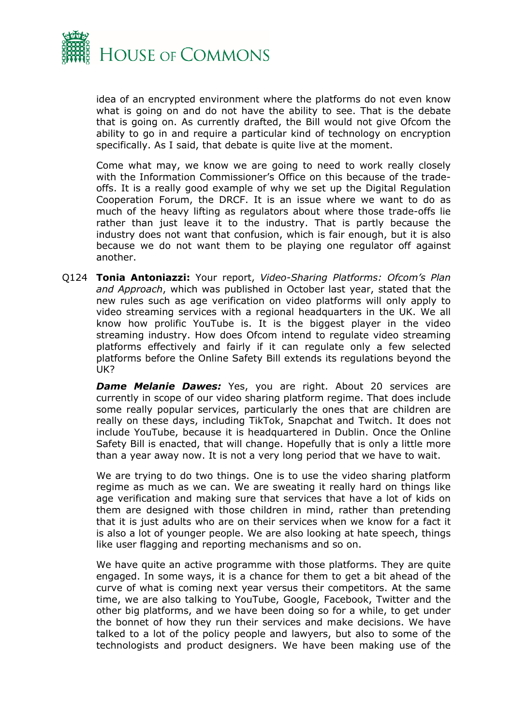

idea of an encrypted environment where the platforms do not even know what is going on and do not have the ability to see. That is the debate that is going on. As currently drafted, the Bill would not give Ofcom the ability to go in and require a particular kind of technology on encryption specifically. As I said, that debate is quite live at the moment.

Come what may, we know we are going to need to work really closely with the Information Commissioner's Office on this because of the tradeoffs. It is a really good example of why we set up the Digital Regulation Cooperation Forum, the DRCF. It is an issue where we want to do as much of the heavy lifting as regulators about where those trade-offs lie rather than just leave it to the industry. That is partly because the industry does not want that confusion, which is fair enough, but it is also because we do not want them to be playing one regulator off against another.

Q124 **Tonia Antoniazzi:** Your report, *Video-Sharing Platforms: Ofcom's Plan and Approach*, which was published in October last year, stated that the new rules such as age verification on video platforms will only apply to video streaming services with a regional headquarters in the UK. We all know how prolific YouTube is. It is the biggest player in the video streaming industry. How does Ofcom intend to regulate video streaming platforms effectively and fairly if it can regulate only a few selected platforms before the Online Safety Bill extends its regulations beyond the UK?

**Dame Melanie Dawes:** Yes, you are right. About 20 services are currently in scope of our video sharing platform regime. That does include some really popular services, particularly the ones that are children are really on these days, including TikTok, Snapchat and Twitch. It does not include YouTube, because it is headquartered in Dublin. Once the Online Safety Bill is enacted, that will change. Hopefully that is only a little more than a year away now. It is not a very long period that we have to wait.

We are trying to do two things. One is to use the video sharing platform regime as much as we can. We are sweating it really hard on things like age verification and making sure that services that have a lot of kids on them are designed with those children in mind, rather than pretending that it is just adults who are on their services when we know for a fact it is also a lot of younger people. We are also looking at hate speech, things like user flagging and reporting mechanisms and so on.

We have quite an active programme with those platforms. They are quite engaged. In some ways, it is a chance for them to get a bit ahead of the curve of what is coming next year versus their competitors. At the same time, we are also talking to YouTube, Google, Facebook, Twitter and the other big platforms, and we have been doing so for a while, to get under the bonnet of how they run their services and make decisions. We have talked to a lot of the policy people and lawyers, but also to some of the technologists and product designers. We have been making use of the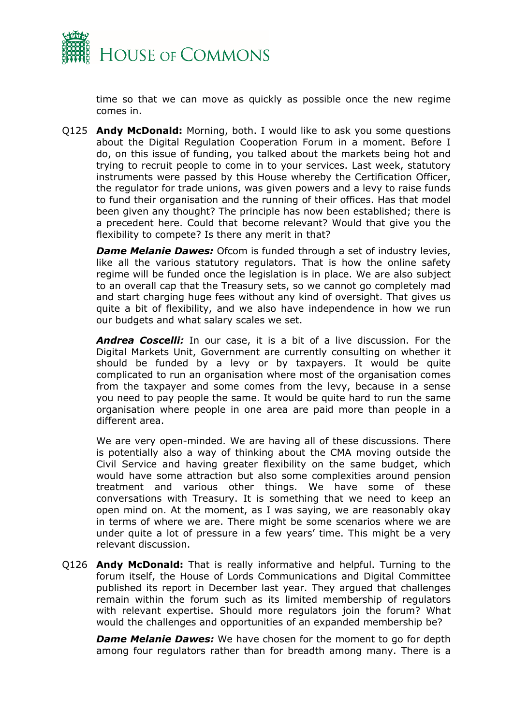

time so that we can move as quickly as possible once the new regime comes in.

Q125 **Andy McDonald:** Morning, both. I would like to ask you some questions about the Digital Regulation Cooperation Forum in a moment. Before I do, on this issue of funding, you talked about the markets being hot and trying to recruit people to come in to your services. Last week, statutory instruments were passed by this House whereby the Certification Officer, the regulator for trade unions, was given powers and a levy to raise funds to fund their organisation and the running of their offices. Has that model been given any thought? The principle has now been established; there is a precedent here. Could that become relevant? Would that give you the flexibility to compete? Is there any merit in that?

*Dame Melanie Dawes:* Ofcom is funded through a set of industry levies, like all the various statutory regulators. That is how the online safety regime will be funded once the legislation is in place. We are also subject to an overall cap that the Treasury sets, so we cannot go completely mad and start charging huge fees without any kind of oversight. That gives us quite a bit of flexibility, and we also have independence in how we run our budgets and what salary scales we set.

*Andrea Coscelli:* In our case, it is a bit of a live discussion. For the Digital Markets Unit, Government are currently consulting on whether it should be funded by a levy or by taxpayers. It would be quite complicated to run an organisation where most of the organisation comes from the taxpayer and some comes from the levy, because in a sense you need to pay people the same. It would be quite hard to run the same organisation where people in one area are paid more than people in a different area.

We are very open-minded. We are having all of these discussions. There is potentially also a way of thinking about the CMA moving outside the Civil Service and having greater flexibility on the same budget, which would have some attraction but also some complexities around pension treatment and various other things. We have some of these conversations with Treasury. It is something that we need to keep an open mind on. At the moment, as I was saying, we are reasonably okay in terms of where we are. There might be some scenarios where we are under quite a lot of pressure in a few years' time. This might be a very relevant discussion.

Q126 **Andy McDonald:** That is really informative and helpful. Turning to the forum itself, the House of Lords Communications and Digital Committee published its report in December last year. They argued that challenges remain within the forum such as its limited membership of regulators with relevant expertise. Should more regulators join the forum? What would the challenges and opportunities of an expanded membership be?

*Dame Melanie Dawes:* We have chosen for the moment to go for depth among four regulators rather than for breadth among many. There is a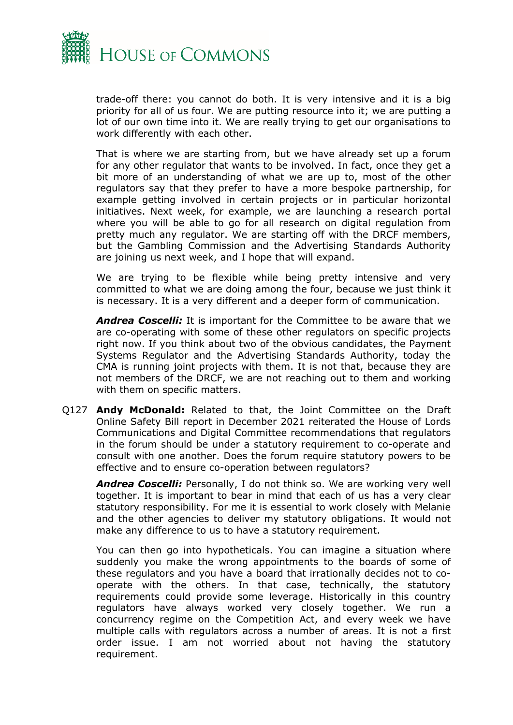

trade-off there: you cannot do both. It is very intensive and it is a big priority for all of us four. We are putting resource into it; we are putting a lot of our own time into it. We are really trying to get our organisations to work differently with each other.

That is where we are starting from, but we have already set up a forum for any other regulator that wants to be involved. In fact, once they get a bit more of an understanding of what we are up to, most of the other regulators say that they prefer to have a more bespoke partnership, for example getting involved in certain projects or in particular horizontal initiatives. Next week, for example, we are launching a research portal where you will be able to go for all research on digital regulation from pretty much any regulator. We are starting off with the DRCF members, but the Gambling Commission and the Advertising Standards Authority are joining us next week, and I hope that will expand.

We are trying to be flexible while being pretty intensive and very committed to what we are doing among the four, because we just think it is necessary. It is a very different and a deeper form of communication.

*Andrea Coscelli:* It is important for the Committee to be aware that we are co-operating with some of these other regulators on specific projects right now. If you think about two of the obvious candidates, the Payment Systems Regulator and the Advertising Standards Authority, today the CMA is running joint projects with them. It is not that, because they are not members of the DRCF, we are not reaching out to them and working with them on specific matters.

Q127 **Andy McDonald:** Related to that, the Joint Committee on the Draft Online Safety Bill report in December 2021 reiterated the House of Lords Communications and Digital Committee recommendations that regulators in the forum should be under a statutory requirement to co-operate and consult with one another. Does the forum require statutory powers to be effective and to ensure co-operation between regulators?

*Andrea Coscelli:* Personally, I do not think so. We are working very well together. It is important to bear in mind that each of us has a very clear statutory responsibility. For me it is essential to work closely with Melanie and the other agencies to deliver my statutory obligations. It would not make any difference to us to have a statutory requirement.

You can then go into hypotheticals. You can imagine a situation where suddenly you make the wrong appointments to the boards of some of these regulators and you have a board that irrationally decides not to cooperate with the others. In that case, technically, the statutory requirements could provide some leverage. Historically in this country regulators have always worked very closely together. We run a concurrency regime on the Competition Act, and every week we have multiple calls with regulators across a number of areas. It is not a first order issue. I am not worried about not having the statutory requirement.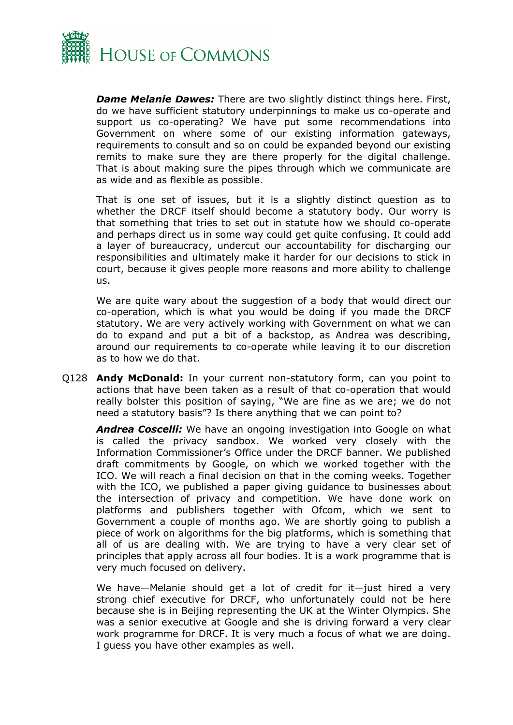

*Dame Melanie Dawes:* There are two slightly distinct things here. First, do we have sufficient statutory underpinnings to make us co-operate and support us co-operating? We have put some recommendations into Government on where some of our existing information gateways, requirements to consult and so on could be expanded beyond our existing remits to make sure they are there properly for the digital challenge. That is about making sure the pipes through which we communicate are as wide and as flexible as possible.

That is one set of issues, but it is a slightly distinct question as to whether the DRCF itself should become a statutory body. Our worry is that something that tries to set out in statute how we should co-operate and perhaps direct us in some way could get quite confusing. It could add a layer of bureaucracy, undercut our accountability for discharging our responsibilities and ultimately make it harder for our decisions to stick in court, because it gives people more reasons and more ability to challenge us.

We are quite wary about the suggestion of a body that would direct our co-operation, which is what you would be doing if you made the DRCF statutory. We are very actively working with Government on what we can do to expand and put a bit of a backstop, as Andrea was describing, around our requirements to co-operate while leaving it to our discretion as to how we do that.

Q128 **Andy McDonald:** In your current non-statutory form, can you point to actions that have been taken as a result of that co-operation that would really bolster this position of saying, "We are fine as we are; we do not need a statutory basis"? Is there anything that we can point to?

*Andrea Coscelli:* We have an ongoing investigation into Google on what is called the privacy sandbox. We worked very closely with the Information Commissioner's Office under the DRCF banner. We published draft commitments by Google, on which we worked together with the ICO. We will reach a final decision on that in the coming weeks. Together with the ICO, we published a paper giving guidance to businesses about the intersection of privacy and competition. We have done work on platforms and publishers together with Ofcom, which we sent to Government a couple of months ago. We are shortly going to publish a piece of work on algorithms for the big platforms, which is something that all of us are dealing with. We are trying to have a very clear set of principles that apply across all four bodies. It is a work programme that is very much focused on delivery.

We have—Melanie should get a lot of credit for it—just hired a very strong chief executive for DRCF, who unfortunately could not be here because she is in Beijing representing the UK at the Winter Olympics. She was a senior executive at Google and she is driving forward a very clear work programme for DRCF. It is very much a focus of what we are doing. I guess you have other examples as well.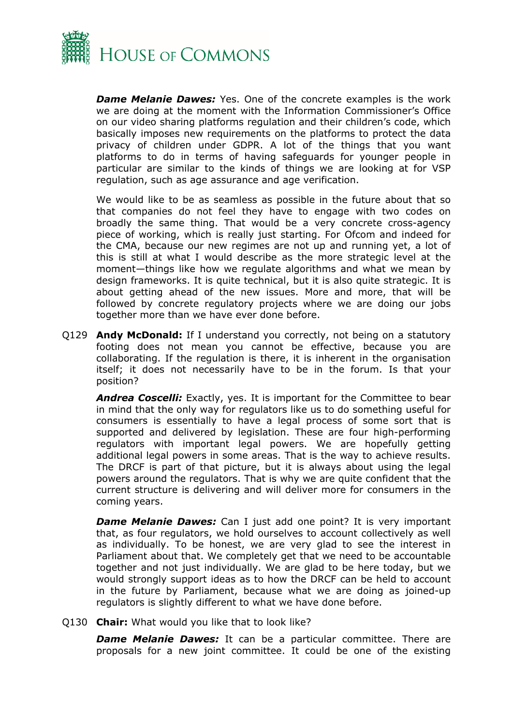

*Dame Melanie Dawes:* Yes. One of the concrete examples is the work we are doing at the moment with the Information Commissioner's Office on our video sharing platforms regulation and their children's code, which basically imposes new requirements on the platforms to protect the data privacy of children under GDPR. A lot of the things that you want platforms to do in terms of having safeguards for younger people in particular are similar to the kinds of things we are looking at for VSP regulation, such as age assurance and age verification.

We would like to be as seamless as possible in the future about that so that companies do not feel they have to engage with two codes on broadly the same thing. That would be a very concrete cross-agency piece of working, which is really just starting. For Ofcom and indeed for the CMA, because our new regimes are not up and running yet, a lot of this is still at what I would describe as the more strategic level at the moment—things like how we regulate algorithms and what we mean by design frameworks. It is quite technical, but it is also quite strategic. It is about getting ahead of the new issues. More and more, that will be followed by concrete regulatory projects where we are doing our jobs together more than we have ever done before.

Q129 **Andy McDonald:** If I understand you correctly, not being on a statutory footing does not mean you cannot be effective, because you are collaborating. If the regulation is there, it is inherent in the organisation itself; it does not necessarily have to be in the forum. Is that your position?

*Andrea Coscelli:* Exactly, yes. It is important for the Committee to bear in mind that the only way for regulators like us to do something useful for consumers is essentially to have a legal process of some sort that is supported and delivered by legislation. These are four high-performing regulators with important legal powers. We are hopefully getting additional legal powers in some areas. That is the way to achieve results. The DRCF is part of that picture, but it is always about using the legal powers around the regulators. That is why we are quite confident that the current structure is delivering and will deliver more for consumers in the coming years.

*Dame Melanie Dawes:* Can I just add one point? It is very important that, as four regulators, we hold ourselves to account collectively as well as individually. To be honest, we are very glad to see the interest in Parliament about that. We completely get that we need to be accountable together and not just individually. We are glad to be here today, but we would strongly support ideas as to how the DRCF can be held to account in the future by Parliament, because what we are doing as joined-up regulators is slightly different to what we have done before.

Q130 **Chair:** What would you like that to look like?

*Dame Melanie Dawes:* It can be a particular committee. There are proposals for a new joint committee. It could be one of the existing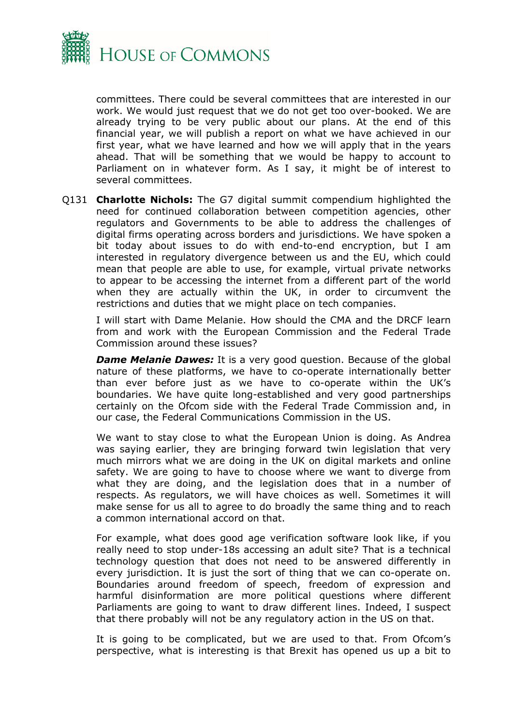

committees. There could be several committees that are interested in our work. We would just request that we do not get too over-booked. We are already trying to be very public about our plans. At the end of this financial year, we will publish a report on what we have achieved in our first year, what we have learned and how we will apply that in the years ahead. That will be something that we would be happy to account to Parliament on in whatever form. As I say, it might be of interest to several committees.

Q131 **Charlotte Nichols:** The G7 digital summit compendium highlighted the need for continued collaboration between competition agencies, other regulators and Governments to be able to address the challenges of digital firms operating across borders and jurisdictions. We have spoken a bit today about issues to do with end-to-end encryption, but I am interested in regulatory divergence between us and the EU, which could mean that people are able to use, for example, virtual private networks to appear to be accessing the internet from a different part of the world when they are actually within the UK, in order to circumvent the restrictions and duties that we might place on tech companies.

I will start with Dame Melanie. How should the CMA and the DRCF learn from and work with the European Commission and the Federal Trade Commission around these issues?

**Dame Melanie Dawes:** It is a very good question. Because of the global nature of these platforms, we have to co-operate internationally better than ever before just as we have to co-operate within the UK's boundaries. We have quite long-established and very good partnerships certainly on the Ofcom side with the Federal Trade Commission and, in our case, the Federal Communications Commission in the US.

We want to stay close to what the European Union is doing. As Andrea was saying earlier, they are bringing forward twin legislation that very much mirrors what we are doing in the UK on digital markets and online safety. We are going to have to choose where we want to diverge from what they are doing, and the legislation does that in a number of respects. As regulators, we will have choices as well. Sometimes it will make sense for us all to agree to do broadly the same thing and to reach a common international accord on that.

For example, what does good age verification software look like, if you really need to stop under-18s accessing an adult site? That is a technical technology question that does not need to be answered differently in every jurisdiction. It is just the sort of thing that we can co-operate on. Boundaries around freedom of speech, freedom of expression and harmful disinformation are more political questions where different Parliaments are going to want to draw different lines. Indeed, I suspect that there probably will not be any regulatory action in the US on that.

It is going to be complicated, but we are used to that. From Ofcom's perspective, what is interesting is that Brexit has opened us up a bit to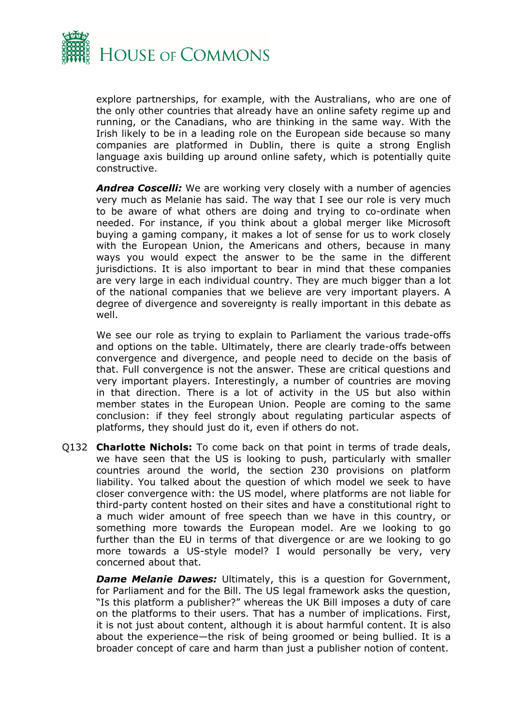

explore partnerships, for example, with the Australians, who are one of the only other countries that already have an online safety regime up and running, or the Canadians, who are thinking in the same way. With the Irish likely to be in a leading role on the European side because so many companies are platformed in Dublin, there is quite a strong English language axis building up around online safety, which is potentially quite constructive.

*Andrea Coscelli:* We are working very closely with a number of agencies very much as Melanie has said. The way that I see our role is very much to be aware of what others are doing and trying to co-ordinate when needed. For instance, if you think about a global merger like Microsoft buying a gaming company, it makes a lot of sense for us to work closely with the European Union, the Americans and others, because in many ways you would expect the answer to be the same in the different jurisdictions. It is also important to bear in mind that these companies are very large in each individual country. They are much bigger than a lot of the national companies that we believe are very important players. A degree of divergence and sovereignty is really important in this debate as well.

We see our role as trying to explain to Parliament the various trade-offs and options on the table. Ultimately, there are clearly trade-offs between convergence and divergence, and people need to decide on the basis of that. Full convergence is not the answer. These are critical questions and very important players. Interestingly, a number of countries are moving in that direction. There is a lot of activity in the US but also within member states in the European Union. People are coming to the same conclusion: if they feel strongly about regulating particular aspects of platforms, they should just do it, even if others do not.

Q132 **Charlotte Nichols:** To come back on that point in terms of trade deals, we have seen that the US is looking to push, particularly with smaller countries around the world, the section 230 provisions on platform liability. You talked about the question of which model we seek to have closer convergence with: the US model, where platforms are not liable for third-party content hosted on their sites and have a constitutional right to a much wider amount of free speech than we have in this country, or something more towards the European model. Are we looking to go further than the EU in terms of that divergence or are we looking to go more towards a US-style model? I would personally be very, very concerned about that.

*Dame Melanie Dawes:* Ultimately, this is a question for Government, for Parliament and for the Bill. The US legal framework asks the question, "Is this platform a publisher?" whereas the UK Bill imposes a duty of care on the platforms to their users. That has a number of implications. First, it is not just about content, although it is about harmful content. It is also about the experience—the risk of being groomed or being bullied. It is a broader concept of care and harm than just a publisher notion of content.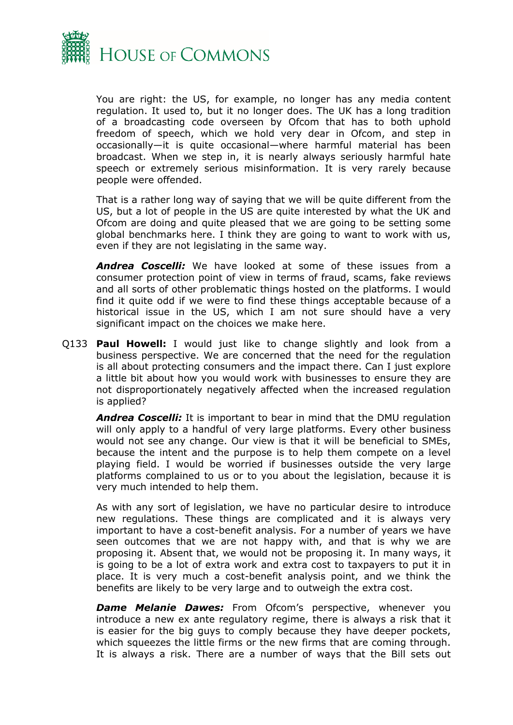

You are right: the US, for example, no longer has any media content regulation. It used to, but it no longer does. The UK has a long tradition of a broadcasting code overseen by Ofcom that has to both uphold freedom of speech, which we hold very dear in Ofcom, and step in occasionally—it is quite occasional—where harmful material has been broadcast. When we step in, it is nearly always seriously harmful hate speech or extremely serious misinformation. It is very rarely because people were offended.

That is a rather long way of saying that we will be quite different from the US, but a lot of people in the US are quite interested by what the UK and Ofcom are doing and quite pleased that we are going to be setting some global benchmarks here. I think they are going to want to work with us, even if they are not legislating in the same way.

*Andrea Coscelli:* We have looked at some of these issues from a consumer protection point of view in terms of fraud, scams, fake reviews and all sorts of other problematic things hosted on the platforms. I would find it quite odd if we were to find these things acceptable because of a historical issue in the US, which I am not sure should have a very significant impact on the choices we make here.

Q133 **Paul Howell:** I would just like to change slightly and look from a business perspective. We are concerned that the need for the regulation is all about protecting consumers and the impact there. Can I just explore a little bit about how you would work with businesses to ensure they are not disproportionately negatively affected when the increased regulation is applied?

*Andrea Coscelli:* It is important to bear in mind that the DMU regulation will only apply to a handful of very large platforms. Every other business would not see any change. Our view is that it will be beneficial to SMEs, because the intent and the purpose is to help them compete on a level playing field. I would be worried if businesses outside the very large platforms complained to us or to you about the legislation, because it is very much intended to help them.

As with any sort of legislation, we have no particular desire to introduce new regulations. These things are complicated and it is always very important to have a cost-benefit analysis. For a number of years we have seen outcomes that we are not happy with, and that is why we are proposing it. Absent that, we would not be proposing it. In many ways, it is going to be a lot of extra work and extra cost to taxpayers to put it in place. It is very much a cost-benefit analysis point, and we think the benefits are likely to be very large and to outweigh the extra cost.

*Dame Melanie Dawes:* From Ofcom's perspective, whenever you introduce a new ex ante regulatory regime, there is always a risk that it is easier for the big guys to comply because they have deeper pockets, which squeezes the little firms or the new firms that are coming through. It is always a risk. There are a number of ways that the Bill sets out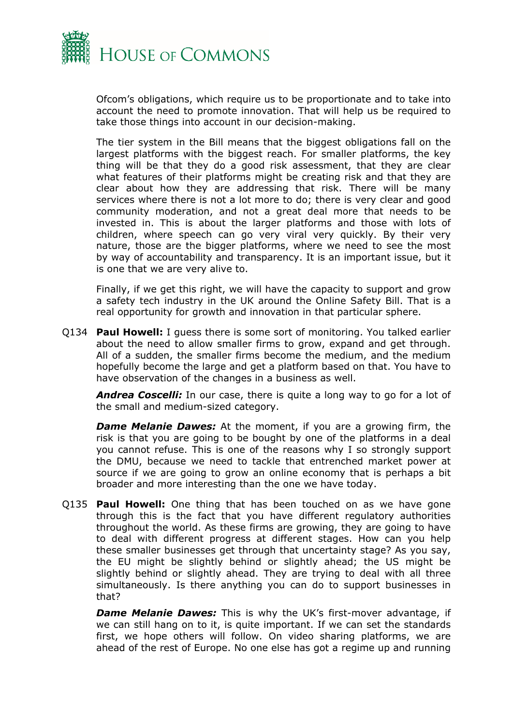

Ofcom's obligations, which require us to be proportionate and to take into account the need to promote innovation. That will help us be required to take those things into account in our decision-making.

The tier system in the Bill means that the biggest obligations fall on the largest platforms with the biggest reach. For smaller platforms, the key thing will be that they do a good risk assessment, that they are clear what features of their platforms might be creating risk and that they are clear about how they are addressing that risk. There will be many services where there is not a lot more to do; there is very clear and good community moderation, and not a great deal more that needs to be invested in. This is about the larger platforms and those with lots of children, where speech can go very viral very quickly. By their very nature, those are the bigger platforms, where we need to see the most by way of accountability and transparency. It is an important issue, but it is one that we are very alive to.

Finally, if we get this right, we will have the capacity to support and grow a safety tech industry in the UK around the Online Safety Bill. That is a real opportunity for growth and innovation in that particular sphere.

Q134 **Paul Howell:** I guess there is some sort of monitoring. You talked earlier about the need to allow smaller firms to grow, expand and get through. All of a sudden, the smaller firms become the medium, and the medium hopefully become the large and get a platform based on that. You have to have observation of the changes in a business as well.

*Andrea Coscelli:* In our case, there is quite a long way to go for a lot of the small and medium-sized category.

*Dame Melanie Dawes:* At the moment, if you are a growing firm, the risk is that you are going to be bought by one of the platforms in a deal you cannot refuse. This is one of the reasons why I so strongly support the DMU, because we need to tackle that entrenched market power at source if we are going to grow an online economy that is perhaps a bit broader and more interesting than the one we have today.

Q135 **Paul Howell:** One thing that has been touched on as we have gone through this is the fact that you have different regulatory authorities throughout the world. As these firms are growing, they are going to have to deal with different progress at different stages. How can you help these smaller businesses get through that uncertainty stage? As you say, the EU might be slightly behind or slightly ahead; the US might be slightly behind or slightly ahead. They are trying to deal with all three simultaneously. Is there anything you can do to support businesses in that?

*Dame Melanie Dawes:* This is why the UK's first-mover advantage, if we can still hang on to it, is quite important. If we can set the standards first, we hope others will follow. On video sharing platforms, we are ahead of the rest of Europe. No one else has got a regime up and running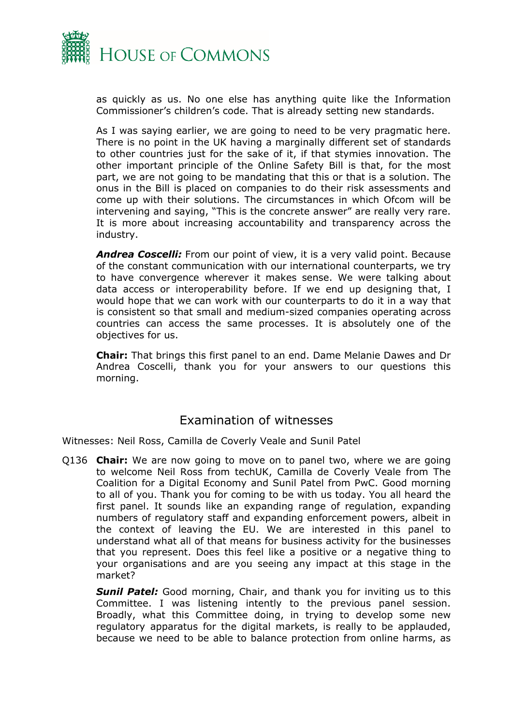

as quickly as us. No one else has anything quite like the Information Commissioner's children's code. That is already setting new standards.

As I was saying earlier, we are going to need to be very pragmatic here. There is no point in the UK having a marginally different set of standards to other countries just for the sake of it, if that stymies innovation. The other important principle of the Online Safety Bill is that, for the most part, we are not going to be mandating that this or that is a solution. The onus in the Bill is placed on companies to do their risk assessments and come up with their solutions. The circumstances in which Ofcom will be intervening and saying, "This is the concrete answer" are really very rare. It is more about increasing accountability and transparency across the industry.

*Andrea Coscelli:* From our point of view, it is a very valid point. Because of the constant communication with our international counterparts, we try to have convergence wherever it makes sense. We were talking about data access or interoperability before. If we end up designing that, I would hope that we can work with our counterparts to do it in a way that is consistent so that small and medium-sized companies operating across countries can access the same processes. It is absolutely one of the objectives for us.

**Chair:** That brings this first panel to an end. Dame Melanie Dawes and Dr Andrea Coscelli, thank you for your answers to our questions this morning.

## Examination of witnesses

Witnesses: Neil Ross, Camilla de Coverly Veale and Sunil Patel

Q136 **Chair:** We are now going to move on to panel two, where we are going to welcome Neil Ross from techUK, Camilla de Coverly Veale from The Coalition for a Digital Economy and Sunil Patel from PwC. Good morning to all of you. Thank you for coming to be with us today. You all heard the first panel. It sounds like an expanding range of regulation, expanding numbers of regulatory staff and expanding enforcement powers, albeit in the context of leaving the EU. We are interested in this panel to understand what all of that means for business activity for the businesses that you represent. Does this feel like a positive or a negative thing to your organisations and are you seeing any impact at this stage in the market?

**Sunil Patel:** Good morning, Chair, and thank you for inviting us to this Committee. I was listening intently to the previous panel session. Broadly, what this Committee doing, in trying to develop some new regulatory apparatus for the digital markets, is really to be applauded, because we need to be able to balance protection from online harms, as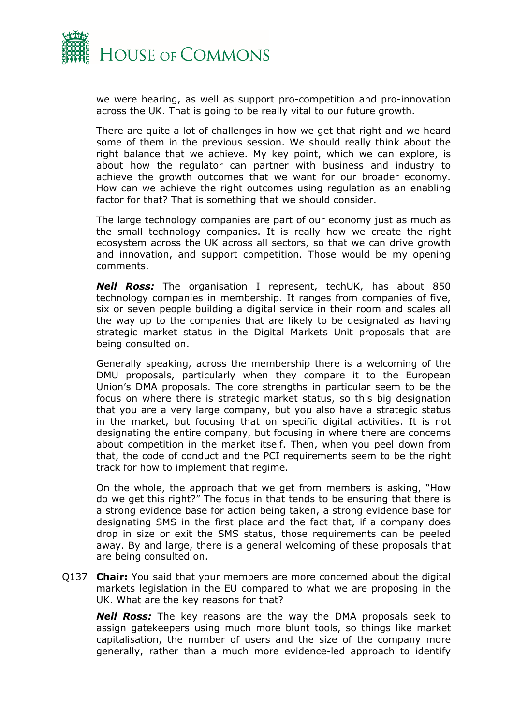

we were hearing, as well as support pro-competition and pro-innovation across the UK. That is going to be really vital to our future growth.

There are quite a lot of challenges in how we get that right and we heard some of them in the previous session. We should really think about the right balance that we achieve. My key point, which we can explore, is about how the regulator can partner with business and industry to achieve the growth outcomes that we want for our broader economy. How can we achieve the right outcomes using regulation as an enabling factor for that? That is something that we should consider.

The large technology companies are part of our economy just as much as the small technology companies. It is really how we create the right ecosystem across the UK across all sectors, so that we can drive growth and innovation, and support competition. Those would be my opening comments.

*Neil Ross:* The organisation I represent, techUK, has about 850 technology companies in membership. It ranges from companies of five, six or seven people building a digital service in their room and scales all the way up to the companies that are likely to be designated as having strategic market status in the Digital Markets Unit proposals that are being consulted on.

Generally speaking, across the membership there is a welcoming of the DMU proposals, particularly when they compare it to the European Union's DMA proposals. The core strengths in particular seem to be the focus on where there is strategic market status, so this big designation that you are a very large company, but you also have a strategic status in the market, but focusing that on specific digital activities. It is not designating the entire company, but focusing in where there are concerns about competition in the market itself. Then, when you peel down from that, the code of conduct and the PCI requirements seem to be the right track for how to implement that regime.

On the whole, the approach that we get from members is asking, "How do we get this right?" The focus in that tends to be ensuring that there is a strong evidence base for action being taken, a strong evidence base for designating SMS in the first place and the fact that, if a company does drop in size or exit the SMS status, those requirements can be peeled away. By and large, there is a general welcoming of these proposals that are being consulted on.

Q137 **Chair:** You said that your members are more concerned about the digital markets legislation in the EU compared to what we are proposing in the UK. What are the key reasons for that?

*Neil Ross:* The key reasons are the way the DMA proposals seek to assign gatekeepers using much more blunt tools, so things like market capitalisation, the number of users and the size of the company more generally, rather than a much more evidence-led approach to identify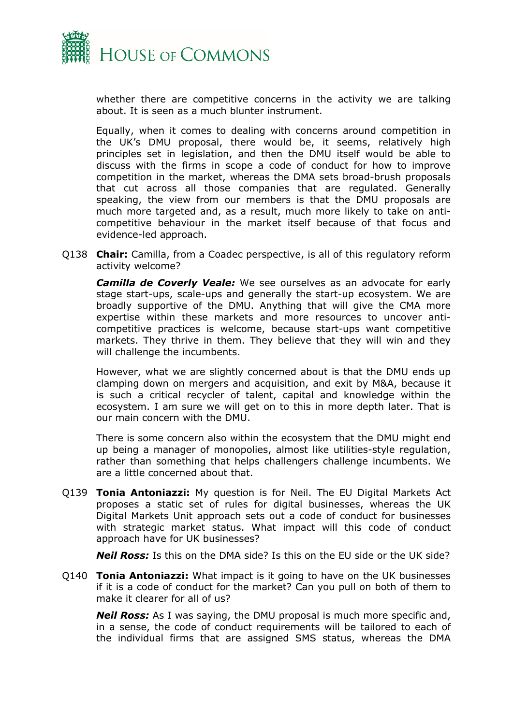

whether there are competitive concerns in the activity we are talking about. It is seen as a much blunter instrument.

Equally, when it comes to dealing with concerns around competition in the UK's DMU proposal, there would be, it seems, relatively high principles set in legislation, and then the DMU itself would be able to discuss with the firms in scope a code of conduct for how to improve competition in the market, whereas the DMA sets broad-brush proposals that cut across all those companies that are regulated. Generally speaking, the view from our members is that the DMU proposals are much more targeted and, as a result, much more likely to take on anticompetitive behaviour in the market itself because of that focus and evidence-led approach.

Q138 **Chair:** Camilla, from a Coadec perspective, is all of this regulatory reform activity welcome?

*Camilla de Coverly Veale:* We see ourselves as an advocate for early stage start-ups, scale-ups and generally the start-up ecosystem. We are broadly supportive of the DMU. Anything that will give the CMA more expertise within these markets and more resources to uncover anticompetitive practices is welcome, because start-ups want competitive markets. They thrive in them. They believe that they will win and they will challenge the incumbents.

However, what we are slightly concerned about is that the DMU ends up clamping down on mergers and acquisition, and exit by M&A, because it is such a critical recycler of talent, capital and knowledge within the ecosystem. I am sure we will get on to this in more depth later. That is our main concern with the DMU.

There is some concern also within the ecosystem that the DMU might end up being a manager of monopolies, almost like utilities-style regulation, rather than something that helps challengers challenge incumbents. We are a little concerned about that.

Q139 **Tonia Antoniazzi:** My question is for Neil. The EU Digital Markets Act proposes a static set of rules for digital businesses, whereas the UK Digital Markets Unit approach sets out a code of conduct for businesses with strategic market status. What impact will this code of conduct approach have for UK businesses?

**Neil Ross:** Is this on the DMA side? Is this on the EU side or the UK side?

Q140 **Tonia Antoniazzi:** What impact is it going to have on the UK businesses if it is a code of conduct for the market? Can you pull on both of them to make it clearer for all of us?

*Neil Ross:* As I was saying, the DMU proposal is much more specific and, in a sense, the code of conduct requirements will be tailored to each of the individual firms that are assigned SMS status, whereas the DMA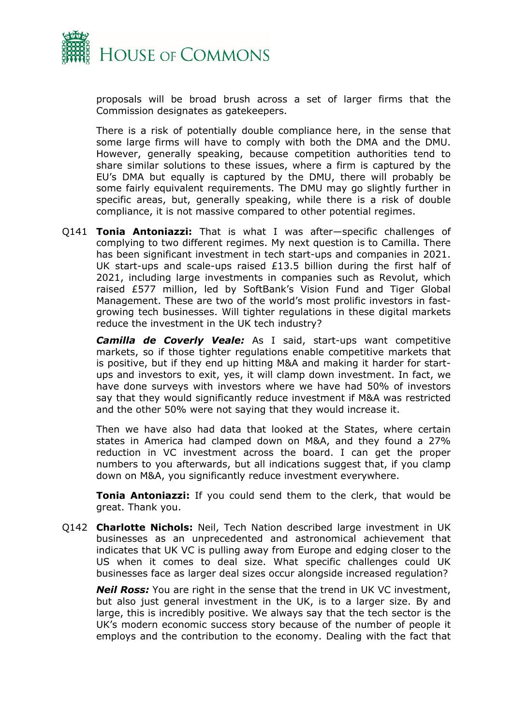

proposals will be broad brush across a set of larger firms that the Commission designates as gatekeepers.

There is a risk of potentially double compliance here, in the sense that some large firms will have to comply with both the DMA and the DMU. However, generally speaking, because competition authorities tend to share similar solutions to these issues, where a firm is captured by the EU's DMA but equally is captured by the DMU, there will probably be some fairly equivalent requirements. The DMU may go slightly further in specific areas, but, generally speaking, while there is a risk of double compliance, it is not massive compared to other potential regimes.

Q141 **Tonia Antoniazzi:** That is what I was after—specific challenges of complying to two different regimes. My next question is to Camilla. There has been significant investment in tech start-ups and companies in 2021. UK start-ups and scale-ups raised £13.5 billion during the first half of 2021, including large investments in companies such as Revolut, which raised £577 million, led by SoftBank's Vision Fund and Tiger Global Management. These are two of the world's most prolific investors in fastgrowing tech businesses. Will tighter regulations in these digital markets reduce the investment in the UK tech industry?

*Camilla de Coverly Veale:* As I said, start-ups want competitive markets, so if those tighter regulations enable competitive markets that is positive, but if they end up hitting M&A and making it harder for startups and investors to exit, yes, it will clamp down investment. In fact, we have done surveys with investors where we have had 50% of investors say that they would significantly reduce investment if M&A was restricted and the other 50% were not saying that they would increase it.

Then we have also had data that looked at the States, where certain states in America had clamped down on M&A, and they found a 27% reduction in VC investment across the board. I can get the proper numbers to you afterwards, but all indications suggest that, if you clamp down on M&A, you significantly reduce investment everywhere.

**Tonia Antoniazzi:** If you could send them to the clerk, that would be great. Thank you.

Q142 **Charlotte Nichols:** Neil, Tech Nation described large investment in UK businesses as an unprecedented and astronomical achievement that indicates that UK VC is pulling away from Europe and edging closer to the US when it comes to deal size. What specific challenges could UK businesses face as larger deal sizes occur alongside increased regulation?

*Neil Ross:* You are right in the sense that the trend in UK VC investment, but also just general investment in the UK, is to a larger size. By and large, this is incredibly positive. We always say that the tech sector is the UK's modern economic success story because of the number of people it employs and the contribution to the economy. Dealing with the fact that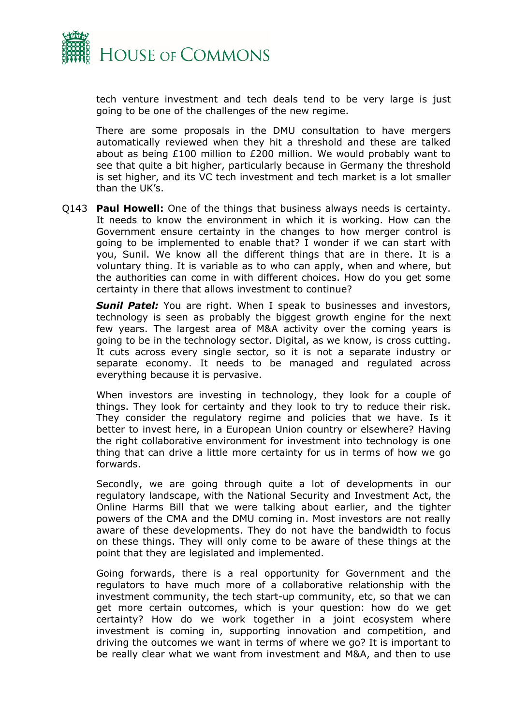

tech venture investment and tech deals tend to be very large is just going to be one of the challenges of the new regime.

There are some proposals in the DMU consultation to have mergers automatically reviewed when they hit a threshold and these are talked about as being £100 million to £200 million. We would probably want to see that quite a bit higher, particularly because in Germany the threshold is set higher, and its VC tech investment and tech market is a lot smaller than the UK's.

Q143 **Paul Howell:** One of the things that business always needs is certainty. It needs to know the environment in which it is working. How can the Government ensure certainty in the changes to how merger control is going to be implemented to enable that? I wonder if we can start with you, Sunil. We know all the different things that are in there. It is a voluntary thing. It is variable as to who can apply, when and where, but the authorities can come in with different choices. How do you get some certainty in there that allows investment to continue?

**Sunil Patel:** You are right. When I speak to businesses and investors, technology is seen as probably the biggest growth engine for the next few years. The largest area of M&A activity over the coming years is going to be in the technology sector. Digital, as we know, is cross cutting. It cuts across every single sector, so it is not a separate industry or separate economy. It needs to be managed and regulated across everything because it is pervasive.

When investors are investing in technology, they look for a couple of things. They look for certainty and they look to try to reduce their risk. They consider the regulatory regime and policies that we have. Is it better to invest here, in a European Union country or elsewhere? Having the right collaborative environment for investment into technology is one thing that can drive a little more certainty for us in terms of how we go forwards.

Secondly, we are going through quite a lot of developments in our regulatory landscape, with the National Security and Investment Act, the Online Harms Bill that we were talking about earlier, and the tighter powers of the CMA and the DMU coming in. Most investors are not really aware of these developments. They do not have the bandwidth to focus on these things. They will only come to be aware of these things at the point that they are legislated and implemented.

Going forwards, there is a real opportunity for Government and the regulators to have much more of a collaborative relationship with the investment community, the tech start-up community, etc, so that we can get more certain outcomes, which is your question: how do we get certainty? How do we work together in a joint ecosystem where investment is coming in, supporting innovation and competition, and driving the outcomes we want in terms of where we go? It is important to be really clear what we want from investment and M&A, and then to use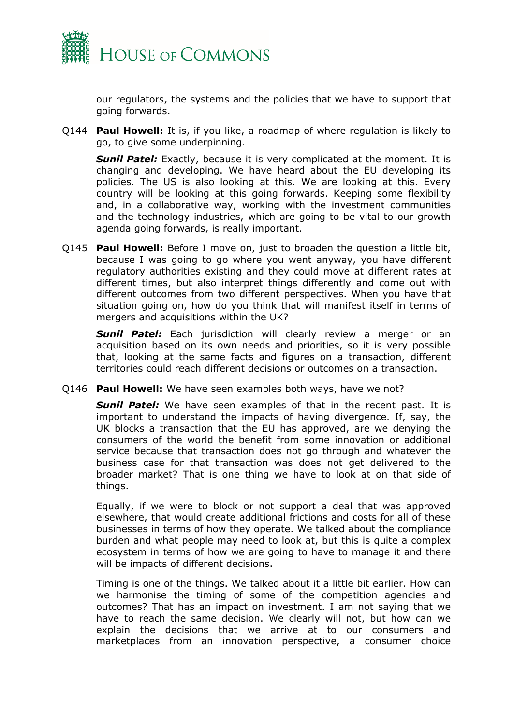

our regulators, the systems and the policies that we have to support that going forwards.

Q144 **Paul Howell:** It is, if you like, a roadmap of where regulation is likely to go, to give some underpinning.

**Sunil Patel:** Exactly, because it is very complicated at the moment. It is changing and developing. We have heard about the EU developing its policies. The US is also looking at this. We are looking at this. Every country will be looking at this going forwards. Keeping some flexibility and, in a collaborative way, working with the investment communities and the technology industries, which are going to be vital to our growth agenda going forwards, is really important.

Q145 **Paul Howell:** Before I move on, just to broaden the question a little bit, because I was going to go where you went anyway, you have different regulatory authorities existing and they could move at different rates at different times, but also interpret things differently and come out with different outcomes from two different perspectives. When you have that situation going on, how do you think that will manifest itself in terms of mergers and acquisitions within the UK?

*Sunil Patel:* Each jurisdiction will clearly review a merger or an acquisition based on its own needs and priorities, so it is very possible that, looking at the same facts and figures on a transaction, different territories could reach different decisions or outcomes on a transaction.

Q146 **Paul Howell:** We have seen examples both ways, have we not?

*Sunil Patel:* We have seen examples of that in the recent past. It is important to understand the impacts of having divergence. If, say, the UK blocks a transaction that the EU has approved, are we denying the consumers of the world the benefit from some innovation or additional service because that transaction does not go through and whatever the business case for that transaction was does not get delivered to the broader market? That is one thing we have to look at on that side of things.

Equally, if we were to block or not support a deal that was approved elsewhere, that would create additional frictions and costs for all of these businesses in terms of how they operate. We talked about the compliance burden and what people may need to look at, but this is quite a complex ecosystem in terms of how we are going to have to manage it and there will be impacts of different decisions.

Timing is one of the things. We talked about it a little bit earlier. How can we harmonise the timing of some of the competition agencies and outcomes? That has an impact on investment. I am not saying that we have to reach the same decision. We clearly will not, but how can we explain the decisions that we arrive at to our consumers and marketplaces from an innovation perspective, a consumer choice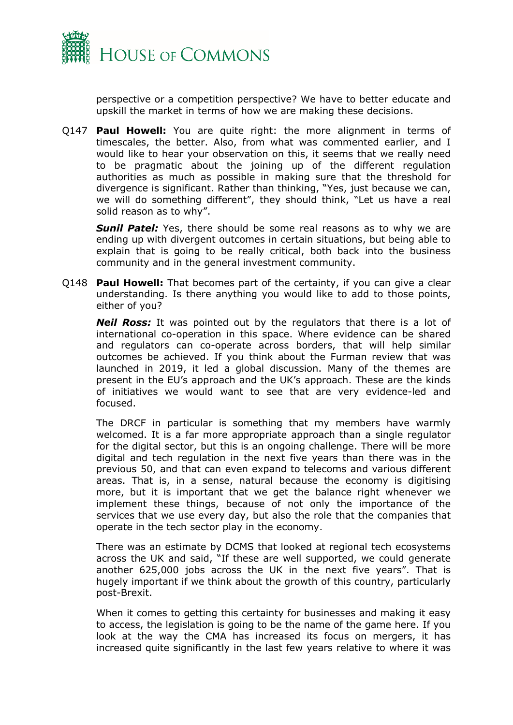

perspective or a competition perspective? We have to better educate and upskill the market in terms of how we are making these decisions.

Q147 **Paul Howell:** You are quite right: the more alignment in terms of timescales, the better. Also, from what was commented earlier, and I would like to hear your observation on this, it seems that we really need to be pragmatic about the joining up of the different regulation authorities as much as possible in making sure that the threshold for divergence is significant. Rather than thinking, "Yes, just because we can, we will do something different", they should think, "Let us have a real solid reason as to why".

**Sunil Patel:** Yes, there should be some real reasons as to why we are ending up with divergent outcomes in certain situations, but being able to explain that is going to be really critical, both back into the business community and in the general investment community.

Q148 **Paul Howell:** That becomes part of the certainty, if you can give a clear understanding. Is there anything you would like to add to those points, either of you?

*Neil Ross:* It was pointed out by the regulators that there is a lot of international co-operation in this space. Where evidence can be shared and regulators can co-operate across borders, that will help similar outcomes be achieved. If you think about the Furman review that was launched in 2019, it led a global discussion. Many of the themes are present in the EU's approach and the UK's approach. These are the kinds of initiatives we would want to see that are very evidence-led and focused.

The DRCF in particular is something that my members have warmly welcomed. It is a far more appropriate approach than a single regulator for the digital sector, but this is an ongoing challenge. There will be more digital and tech regulation in the next five years than there was in the previous 50, and that can even expand to telecoms and various different areas. That is, in a sense, natural because the economy is digitising more, but it is important that we get the balance right whenever we implement these things, because of not only the importance of the services that we use every day, but also the role that the companies that operate in the tech sector play in the economy.

There was an estimate by DCMS that looked at regional tech ecosystems across the UK and said, "If these are well supported, we could generate another 625,000 jobs across the UK in the next five years". That is hugely important if we think about the growth of this country, particularly post-Brexit.

When it comes to getting this certainty for businesses and making it easy to access, the legislation is going to be the name of the game here. If you look at the way the CMA has increased its focus on mergers, it has increased quite significantly in the last few years relative to where it was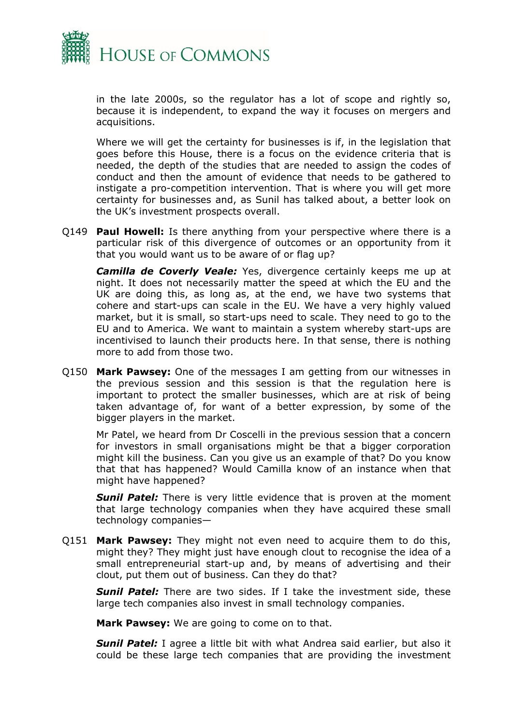

in the late 2000s, so the regulator has a lot of scope and rightly so, because it is independent, to expand the way it focuses on mergers and acquisitions.

Where we will get the certainty for businesses is if, in the legislation that goes before this House, there is a focus on the evidence criteria that is needed, the depth of the studies that are needed to assign the codes of conduct and then the amount of evidence that needs to be gathered to instigate a pro-competition intervention. That is where you will get more certainty for businesses and, as Sunil has talked about, a better look on the UK's investment prospects overall.

Q149 **Paul Howell:** Is there anything from your perspective where there is a particular risk of this divergence of outcomes or an opportunity from it that you would want us to be aware of or flag up?

*Camilla de Coverly Veale:* Yes, divergence certainly keeps me up at night. It does not necessarily matter the speed at which the EU and the UK are doing this, as long as, at the end, we have two systems that cohere and start-ups can scale in the EU. We have a very highly valued market, but it is small, so start-ups need to scale. They need to go to the EU and to America. We want to maintain a system whereby start-ups are incentivised to launch their products here. In that sense, there is nothing more to add from those two.

Q150 **Mark Pawsey:** One of the messages I am getting from our witnesses in the previous session and this session is that the regulation here is important to protect the smaller businesses, which are at risk of being taken advantage of, for want of a better expression, by some of the bigger players in the market.

Mr Patel, we heard from Dr Coscelli in the previous session that a concern for investors in small organisations might be that a bigger corporation might kill the business. Can you give us an example of that? Do you know that that has happened? Would Camilla know of an instance when that might have happened?

*Sunil Patel:* There is very little evidence that is proven at the moment that large technology companies when they have acquired these small technology companies—

Q151 **Mark Pawsey:** They might not even need to acquire them to do this, might they? They might just have enough clout to recognise the idea of a small entrepreneurial start-up and, by means of advertising and their clout, put them out of business. Can they do that?

*Sunil Patel:* There are two sides. If I take the investment side, these large tech companies also invest in small technology companies.

**Mark Pawsey:** We are going to come on to that.

**Sunil Patel:** I agree a little bit with what Andrea said earlier, but also it could be these large tech companies that are providing the investment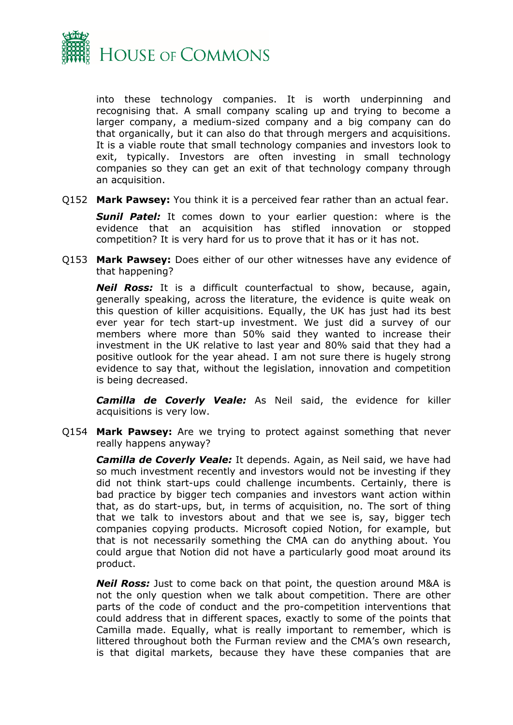

into these technology companies. It is worth underpinning and recognising that. A small company scaling up and trying to become a larger company, a medium-sized company and a big company can do that organically, but it can also do that through mergers and acquisitions. It is a viable route that small technology companies and investors look to exit, typically. Investors are often investing in small technology companies so they can get an exit of that technology company through an acquisition.

Q152 **Mark Pawsey:** You think it is a perceived fear rather than an actual fear.

**Sunil Patel:** It comes down to your earlier question: where is the evidence that an acquisition has stifled innovation or stopped competition? It is very hard for us to prove that it has or it has not.

Q153 **Mark Pawsey:** Does either of our other witnesses have any evidence of that happening?

*Neil Ross:* It is a difficult counterfactual to show, because, again, generally speaking, across the literature, the evidence is quite weak on this question of killer acquisitions. Equally, the UK has just had its best ever year for tech start-up investment. We just did a survey of our members where more than 50% said they wanted to increase their investment in the UK relative to last year and 80% said that they had a positive outlook for the year ahead. I am not sure there is hugely strong evidence to say that, without the legislation, innovation and competition is being decreased.

*Camilla de Coverly Veale:* As Neil said, the evidence for killer acquisitions is very low.

Q154 **Mark Pawsey:** Are we trying to protect against something that never really happens anyway?

*Camilla de Coverly Veale:* It depends. Again, as Neil said, we have had so much investment recently and investors would not be investing if they did not think start-ups could challenge incumbents. Certainly, there is bad practice by bigger tech companies and investors want action within that, as do start-ups, but, in terms of acquisition, no. The sort of thing that we talk to investors about and that we see is, say, bigger tech companies copying products. Microsoft copied Notion, for example, but that is not necessarily something the CMA can do anything about. You could argue that Notion did not have a particularly good moat around its product.

*Neil Ross:* Just to come back on that point, the question around M&A is not the only question when we talk about competition. There are other parts of the code of conduct and the pro-competition interventions that could address that in different spaces, exactly to some of the points that Camilla made. Equally, what is really important to remember, which is littered throughout both the Furman review and the CMA's own research, is that digital markets, because they have these companies that are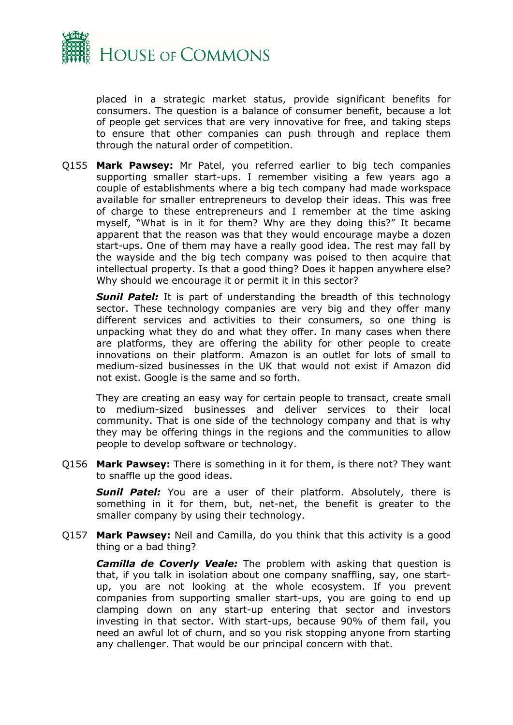

placed in a strategic market status, provide significant benefits for consumers. The question is a balance of consumer benefit, because a lot of people get services that are very innovative for free, and taking steps to ensure that other companies can push through and replace them through the natural order of competition.

Q155 **Mark Pawsey:** Mr Patel, you referred earlier to big tech companies supporting smaller start-ups. I remember visiting a few years ago a couple of establishments where a big tech company had made workspace available for smaller entrepreneurs to develop their ideas. This was free of charge to these entrepreneurs and I remember at the time asking myself, "What is in it for them? Why are they doing this?" It became apparent that the reason was that they would encourage maybe a dozen start-ups. One of them may have a really good idea. The rest may fall by the wayside and the big tech company was poised to then acquire that intellectual property. Is that a good thing? Does it happen anywhere else? Why should we encourage it or permit it in this sector?

**Sunil Patel:** It is part of understanding the breadth of this technology sector. These technology companies are very big and they offer many different services and activities to their consumers, so one thing is unpacking what they do and what they offer. In many cases when there are platforms, they are offering the ability for other people to create innovations on their platform. Amazon is an outlet for lots of small to medium-sized businesses in the UK that would not exist if Amazon did not exist. Google is the same and so forth.

They are creating an easy way for certain people to transact, create small to medium-sized businesses and deliver services to their local community. That is one side of the technology company and that is why they may be offering things in the regions and the communities to allow people to develop software or technology.

Q156 **Mark Pawsey:** There is something in it for them, is there not? They want to snaffle up the good ideas.

**Sunil Patel:** You are a user of their platform. Absolutely, there is something in it for them, but, net-net, the benefit is greater to the smaller company by using their technology.

Q157 **Mark Pawsey:** Neil and Camilla, do you think that this activity is a good thing or a bad thing?

*Camilla de Coverly Veale:* The problem with asking that question is that, if you talk in isolation about one company snaffling, say, one startup, you are not looking at the whole ecosystem. If you prevent companies from supporting smaller start-ups, you are going to end up clamping down on any start-up entering that sector and investors investing in that sector. With start-ups, because 90% of them fail, you need an awful lot of churn, and so you risk stopping anyone from starting any challenger. That would be our principal concern with that.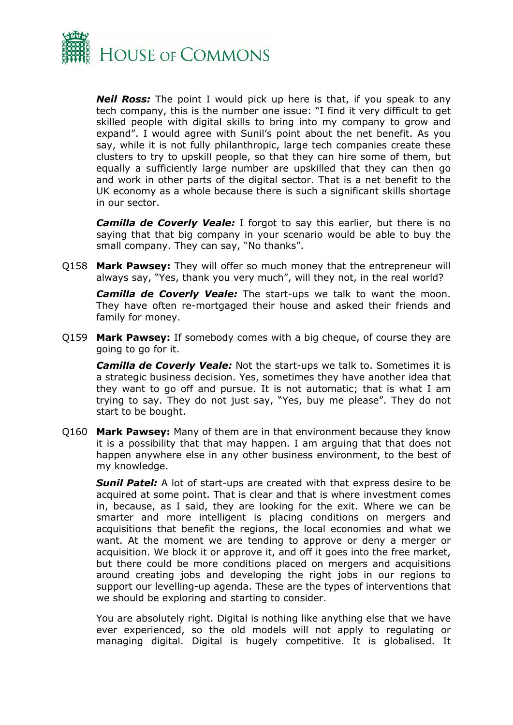

*Neil Ross:* The point I would pick up here is that, if you speak to any tech company, this is the number one issue: "I find it very difficult to get skilled people with digital skills to bring into my company to grow and expand". I would agree with Sunil's point about the net benefit. As you say, while it is not fully philanthropic, large tech companies create these clusters to try to upskill people, so that they can hire some of them, but equally a sufficiently large number are upskilled that they can then go and work in other parts of the digital sector. That is a net benefit to the UK economy as a whole because there is such a significant skills shortage in our sector.

*Camilla de Coverly Veale:* I forgot to say this earlier, but there is no saying that that big company in your scenario would be able to buy the small company. They can say, "No thanks".

Q158 **Mark Pawsey:** They will offer so much money that the entrepreneur will always say, "Yes, thank you very much", will they not, in the real world?

*Camilla de Coverly Veale:* The start-ups we talk to want the moon. They have often re-mortgaged their house and asked their friends and family for money.

Q159 **Mark Pawsey:** If somebody comes with a big cheque, of course they are going to go for it.

*Camilla de Coverly Veale:* Not the start-ups we talk to. Sometimes it is a strategic business decision. Yes, sometimes they have another idea that they want to go off and pursue. It is not automatic; that is what I am trying to say. They do not just say, "Yes, buy me please". They do not start to be bought.

Q160 **Mark Pawsey:** Many of them are in that environment because they know it is a possibility that that may happen. I am arguing that that does not happen anywhere else in any other business environment, to the best of my knowledge.

*Sunil Patel:* A lot of start-ups are created with that express desire to be acquired at some point. That is clear and that is where investment comes in, because, as I said, they are looking for the exit. Where we can be smarter and more intelligent is placing conditions on mergers and acquisitions that benefit the regions, the local economies and what we want. At the moment we are tending to approve or deny a merger or acquisition. We block it or approve it, and off it goes into the free market, but there could be more conditions placed on mergers and acquisitions around creating jobs and developing the right jobs in our regions to support our levelling-up agenda. These are the types of interventions that we should be exploring and starting to consider.

You are absolutely right. Digital is nothing like anything else that we have ever experienced, so the old models will not apply to regulating or managing digital. Digital is hugely competitive. It is globalised. It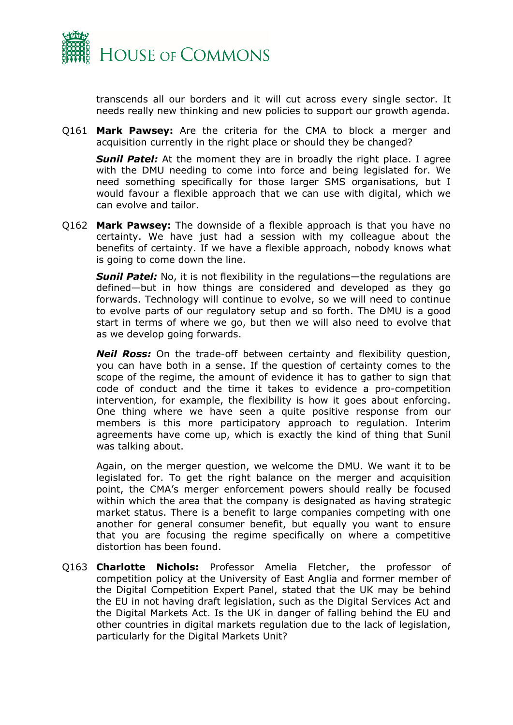

transcends all our borders and it will cut across every single sector. It needs really new thinking and new policies to support our growth agenda.

Q161 **Mark Pawsey:** Are the criteria for the CMA to block a merger and acquisition currently in the right place or should they be changed?

*Sunil Patel:* At the moment they are in broadly the right place. I agree with the DMU needing to come into force and being legislated for. We need something specifically for those larger SMS organisations, but I would favour a flexible approach that we can use with digital, which we can evolve and tailor.

Q162 **Mark Pawsey:** The downside of a flexible approach is that you have no certainty. We have just had a session with my colleague about the benefits of certainty. If we have a flexible approach, nobody knows what is going to come down the line.

**Sunil Patel:** No, it is not flexibility in the regulations—the regulations are defined—but in how things are considered and developed as they go forwards. Technology will continue to evolve, so we will need to continue to evolve parts of our regulatory setup and so forth. The DMU is a good start in terms of where we go, but then we will also need to evolve that as we develop going forwards.

*Neil Ross:* On the trade-off between certainty and flexibility question, you can have both in a sense. If the question of certainty comes to the scope of the regime, the amount of evidence it has to gather to sign that code of conduct and the time it takes to evidence a pro-competition intervention, for example, the flexibility is how it goes about enforcing. One thing where we have seen a quite positive response from our members is this more participatory approach to regulation. Interim agreements have come up, which is exactly the kind of thing that Sunil was talking about.

Again, on the merger question, we welcome the DMU. We want it to be legislated for. To get the right balance on the merger and acquisition point, the CMA's merger enforcement powers should really be focused within which the area that the company is designated as having strategic market status. There is a benefit to large companies competing with one another for general consumer benefit, but equally you want to ensure that you are focusing the regime specifically on where a competitive distortion has been found.

Q163 **Charlotte Nichols:** Professor Amelia Fletcher, the professor of competition policy at the University of East Anglia and former member of the Digital Competition Expert Panel, stated that the UK may be behind the EU in not having draft legislation, such as the Digital Services Act and the Digital Markets Act. Is the UK in danger of falling behind the EU and other countries in digital markets regulation due to the lack of legislation, particularly for the Digital Markets Unit?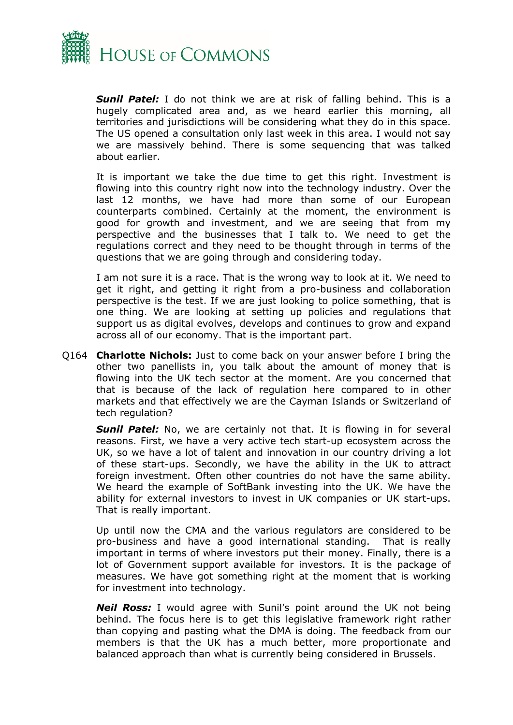

*Sunil Patel:* I do not think we are at risk of falling behind. This is a hugely complicated area and, as we heard earlier this morning, all territories and jurisdictions will be considering what they do in this space. The US opened a consultation only last week in this area. I would not say we are massively behind. There is some sequencing that was talked about earlier.

It is important we take the due time to get this right. Investment is flowing into this country right now into the technology industry. Over the last 12 months, we have had more than some of our European counterparts combined. Certainly at the moment, the environment is good for growth and investment, and we are seeing that from my perspective and the businesses that I talk to. We need to get the regulations correct and they need to be thought through in terms of the questions that we are going through and considering today.

I am not sure it is a race. That is the wrong way to look at it. We need to get it right, and getting it right from a pro-business and collaboration perspective is the test. If we are just looking to police something, that is one thing. We are looking at setting up policies and regulations that support us as digital evolves, develops and continues to grow and expand across all of our economy. That is the important part.

Q164 **Charlotte Nichols:** Just to come back on your answer before I bring the other two panellists in, you talk about the amount of money that is flowing into the UK tech sector at the moment. Are you concerned that that is because of the lack of regulation here compared to in other markets and that effectively we are the Cayman Islands or Switzerland of tech regulation?

**Sunil Patel:** No, we are certainly not that. It is flowing in for several reasons. First, we have a very active tech start-up ecosystem across the UK, so we have a lot of talent and innovation in our country driving a lot of these start-ups. Secondly, we have the ability in the UK to attract foreign investment. Often other countries do not have the same ability. We heard the example of SoftBank investing into the UK. We have the ability for external investors to invest in UK companies or UK start-ups. That is really important.

Up until now the CMA and the various regulators are considered to be pro-business and have a good international standing. That is really important in terms of where investors put their money. Finally, there is a lot of Government support available for investors. It is the package of measures. We have got something right at the moment that is working for investment into technology.

*Neil Ross:* I would agree with Sunil's point around the UK not being behind. The focus here is to get this legislative framework right rather than copying and pasting what the DMA is doing. The feedback from our members is that the UK has a much better, more proportionate and balanced approach than what is currently being considered in Brussels.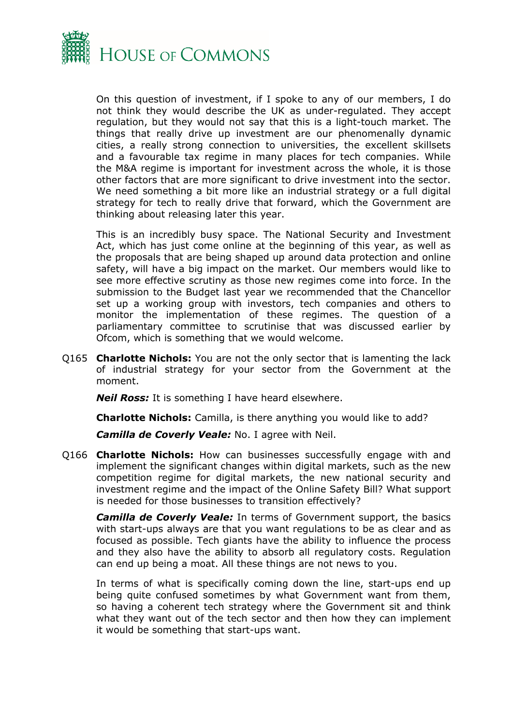

On this question of investment, if I spoke to any of our members, I do not think they would describe the UK as under-regulated. They accept regulation, but they would not say that this is a light-touch market. The things that really drive up investment are our phenomenally dynamic cities, a really strong connection to universities, the excellent skillsets and a favourable tax regime in many places for tech companies. While the M&A regime is important for investment across the whole, it is those other factors that are more significant to drive investment into the sector. We need something a bit more like an industrial strategy or a full digital strategy for tech to really drive that forward, which the Government are thinking about releasing later this year.

This is an incredibly busy space. The National Security and Investment Act, which has just come online at the beginning of this year, as well as the proposals that are being shaped up around data protection and online safety, will have a big impact on the market. Our members would like to see more effective scrutiny as those new regimes come into force. In the submission to the Budget last year we recommended that the Chancellor set up a working group with investors, tech companies and others to monitor the implementation of these regimes. The question of a parliamentary committee to scrutinise that was discussed earlier by Ofcom, which is something that we would welcome.

Q165 **Charlotte Nichols:** You are not the only sector that is lamenting the lack of industrial strategy for your sector from the Government at the moment.

*Neil Ross:* It is something I have heard elsewhere.

**Charlotte Nichols:** Camilla, is there anything you would like to add?

*Camilla de Coverly Veale:* No. I agree with Neil.

Q166 **Charlotte Nichols:** How can businesses successfully engage with and implement the significant changes within digital markets, such as the new competition regime for digital markets, the new national security and investment regime and the impact of the Online Safety Bill? What support is needed for those businesses to transition effectively?

*Camilla de Coverly Veale:* In terms of Government support, the basics with start-ups always are that you want regulations to be as clear and as focused as possible. Tech giants have the ability to influence the process and they also have the ability to absorb all regulatory costs. Regulation can end up being a moat. All these things are not news to you.

In terms of what is specifically coming down the line, start-ups end up being quite confused sometimes by what Government want from them, so having a coherent tech strategy where the Government sit and think what they want out of the tech sector and then how they can implement it would be something that start-ups want.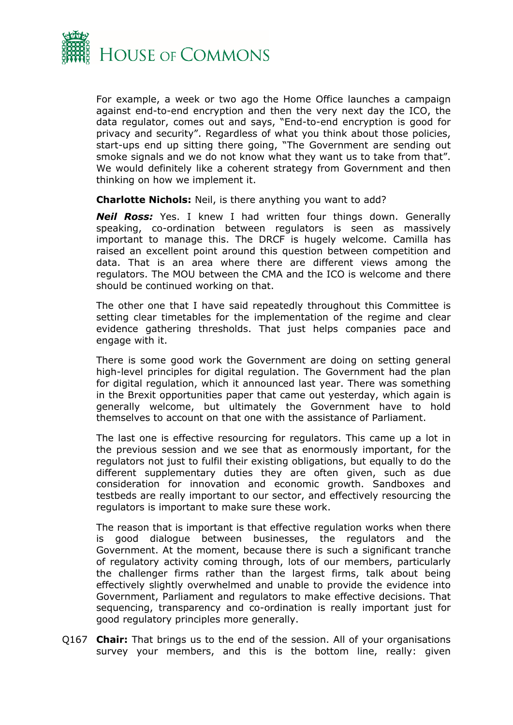

For example, a week or two ago the Home Office launches a campaign against end-to-end encryption and then the very next day the ICO, the data regulator, comes out and says, "End-to-end encryption is good for privacy and security". Regardless of what you think about those policies, start-ups end up sitting there going, "The Government are sending out smoke signals and we do not know what they want us to take from that". We would definitely like a coherent strategy from Government and then thinking on how we implement it.

**Charlotte Nichols:** Neil, is there anything you want to add?

*Neil Ross:* Yes. I knew I had written four things down. Generally speaking, co-ordination between regulators is seen as massively important to manage this. The DRCF is hugely welcome. Camilla has raised an excellent point around this question between competition and data. That is an area where there are different views among the regulators. The MOU between the CMA and the ICO is welcome and there should be continued working on that.

The other one that I have said repeatedly throughout this Committee is setting clear timetables for the implementation of the regime and clear evidence gathering thresholds. That just helps companies pace and engage with it.

There is some good work the Government are doing on setting general high-level principles for digital regulation. The Government had the plan for digital regulation, which it announced last year. There was something in the Brexit opportunities paper that came out yesterday, which again is generally welcome, but ultimately the Government have to hold themselves to account on that one with the assistance of Parliament.

The last one is effective resourcing for regulators. This came up a lot in the previous session and we see that as enormously important, for the regulators not just to fulfil their existing obligations, but equally to do the different supplementary duties they are often given, such as due consideration for innovation and economic growth. Sandboxes and testbeds are really important to our sector, and effectively resourcing the regulators is important to make sure these work.

The reason that is important is that effective regulation works when there is good dialogue between businesses, the regulators and the Government. At the moment, because there is such a significant tranche of regulatory activity coming through, lots of our members, particularly the challenger firms rather than the largest firms, talk about being effectively slightly overwhelmed and unable to provide the evidence into Government, Parliament and regulators to make effective decisions. That sequencing, transparency and co-ordination is really important just for good regulatory principles more generally.

Q167 **Chair:** That brings us to the end of the session. All of your organisations survey your members, and this is the bottom line, really: given